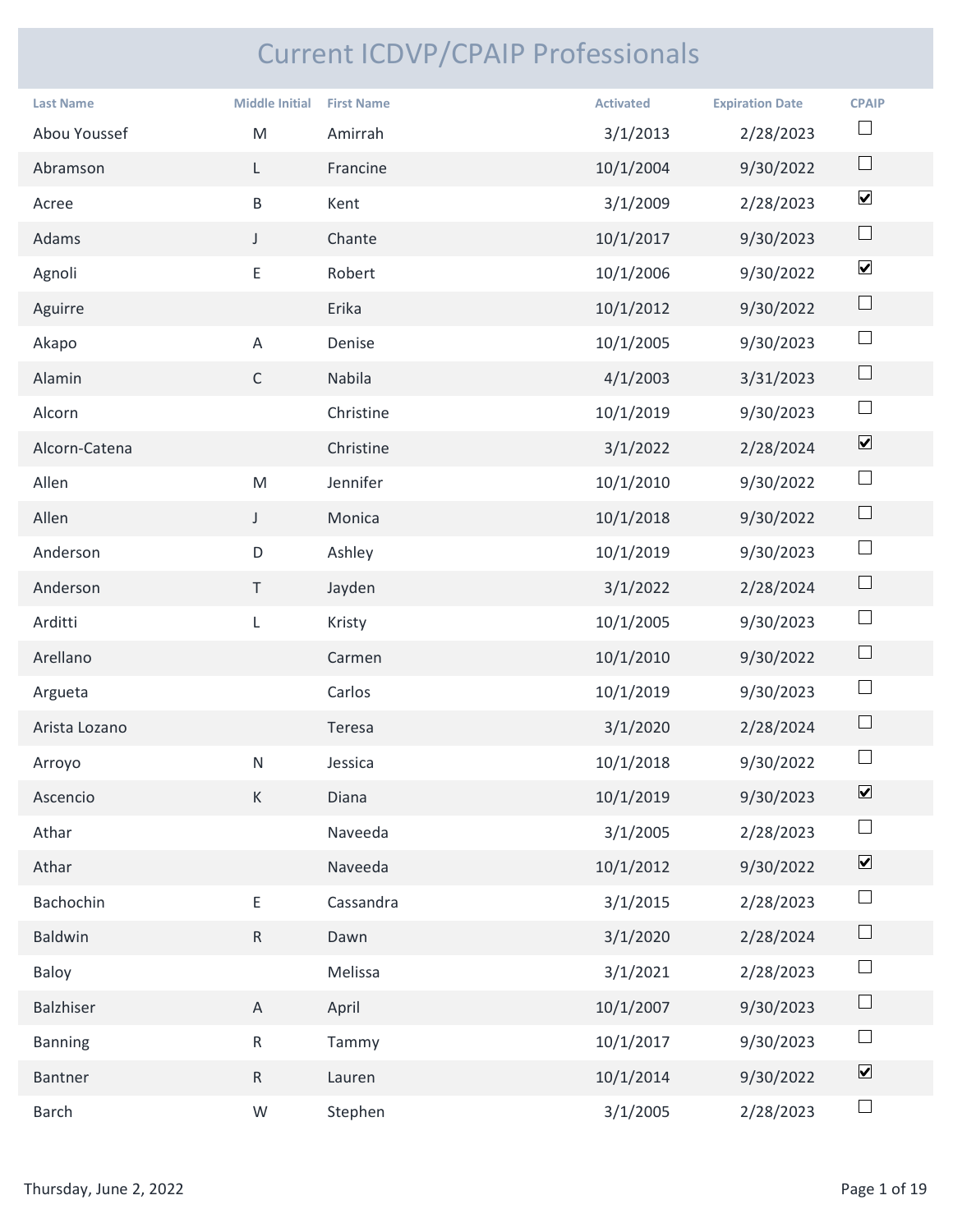## Current ICDVP/CPAIP Professionals

|                        |                       | <b>Current ICDVP/CPAIP Professionals</b> |                  |                        |                              |
|------------------------|-----------------------|------------------------------------------|------------------|------------------------|------------------------------|
| <b>Last Name</b>       | <b>Middle Initial</b> | <b>First Name</b>                        | <b>Activated</b> | <b>Expiration Date</b> | <b>CPAIP</b>                 |
| Abou Youssef           | M                     | Amirrah                                  | 3/1/2013         | 2/28/2023              | $\Box$                       |
| Abramson               | L.                    | Francine                                 | 10/1/2004        | 9/30/2022              | $\Box$                       |
| Acree                  | $\sf B$               | Kent                                     | 3/1/2009         | 2/28/2023              | $\blacktriangledown$         |
| Adams                  | $\mathsf{J}$          | Chante                                   | 10/1/2017        | 9/30/2023              | $\Box$                       |
| Agnoli                 | E.                    | Robert                                   | 10/1/2006        | 9/30/2022              | $\blacktriangledown$         |
| Aguirre                |                       | Erika                                    | 10/1/2012        | 9/30/2022              | $\Box$                       |
| Akapo                  | A                     | Denise                                   | 10/1/2005        | 9/30/2023              | $\Box$                       |
| Alamin                 | $\mathsf{C}$          | Nabila                                   | 4/1/2003         | 3/31/2023              | $\Box$                       |
| Alcorn                 |                       | Christine                                | 10/1/2019        | 9/30/2023              | $\Box$                       |
| Alcorn-Catena          |                       | Christine                                | 3/1/2022         | 2/28/2024              | $\boxed{\blacktriangledown}$ |
| Allen                  | M                     | Jennifer                                 | 10/1/2010        | 9/30/2022              | $\Box$                       |
| Allen                  | $\mathsf{J}$          | Monica                                   | 10/1/2018        | 9/30/2022              | $\Box$                       |
| Anderson               | D                     | Ashley                                   | 10/1/2019        | 9/30/2023              | $\Box$                       |
| Anderson               | $\top$                | Jayden                                   | 3/1/2022         | 2/28/2024              | $\Box$                       |
| Arditti                | $\mathsf{L}$          | Kristy                                   | 10/1/2005        | 9/30/2023              | $\Box$                       |
| Arellano               |                       | Carmen                                   | 10/1/2010        | 9/30/2022              | $\Box$                       |
| Argueta                |                       | Carlos                                   | 10/1/2019        | 9/30/2023              | $\Box$                       |
| Arista Lozano          |                       | Teresa                                   | 3/1/2020         | 2/28/2024              | $\Box$                       |
| Arroyo                 | N                     | Jessica                                  | 10/1/2018        | 9/30/2022              | $\Box$                       |
| Ascencio               | K                     | Diana                                    | 10/1/2019        | 9/30/2023              | $\boxed{\blacktriangledown}$ |
| Athar                  |                       | Naveeda                                  | 3/1/2005         | 2/28/2023              | $\Box$                       |
| Athar                  |                       | Naveeda                                  | 10/1/2012        | 9/30/2022              | $\boxed{\blacktriangledown}$ |
| Bachochin              | $\mathsf{E}^-$        | Cassandra                                | 3/1/2015         | 2/28/2023              | $\Box$                       |
| Baldwin                | R                     | Dawn                                     | 3/1/2020         | 2/28/2024              | $\Box$                       |
| Baloy                  |                       | Melissa                                  | 3/1/2021         | 2/28/2023              | $\Box$                       |
| Balzhiser              | $\mathsf{A}$          | April                                    | 10/1/2007        | 9/30/2023              | $\Box$                       |
| <b>Banning</b>         | $R_{\parallel}$       | Tammy                                    | 10/1/2017        | 9/30/2023              | $\Box$                       |
| Bantner                | R                     | Lauren                                   | 10/1/2014        | 9/30/2022              | $\blacktriangledown$         |
| Barch                  | W                     | Stephen                                  | 3/1/2005         | 2/28/2023              | $\Box$                       |
|                        |                       |                                          |                  |                        |                              |
| Thursday, June 2, 2022 |                       |                                          |                  |                        | Page 1 of 19                 |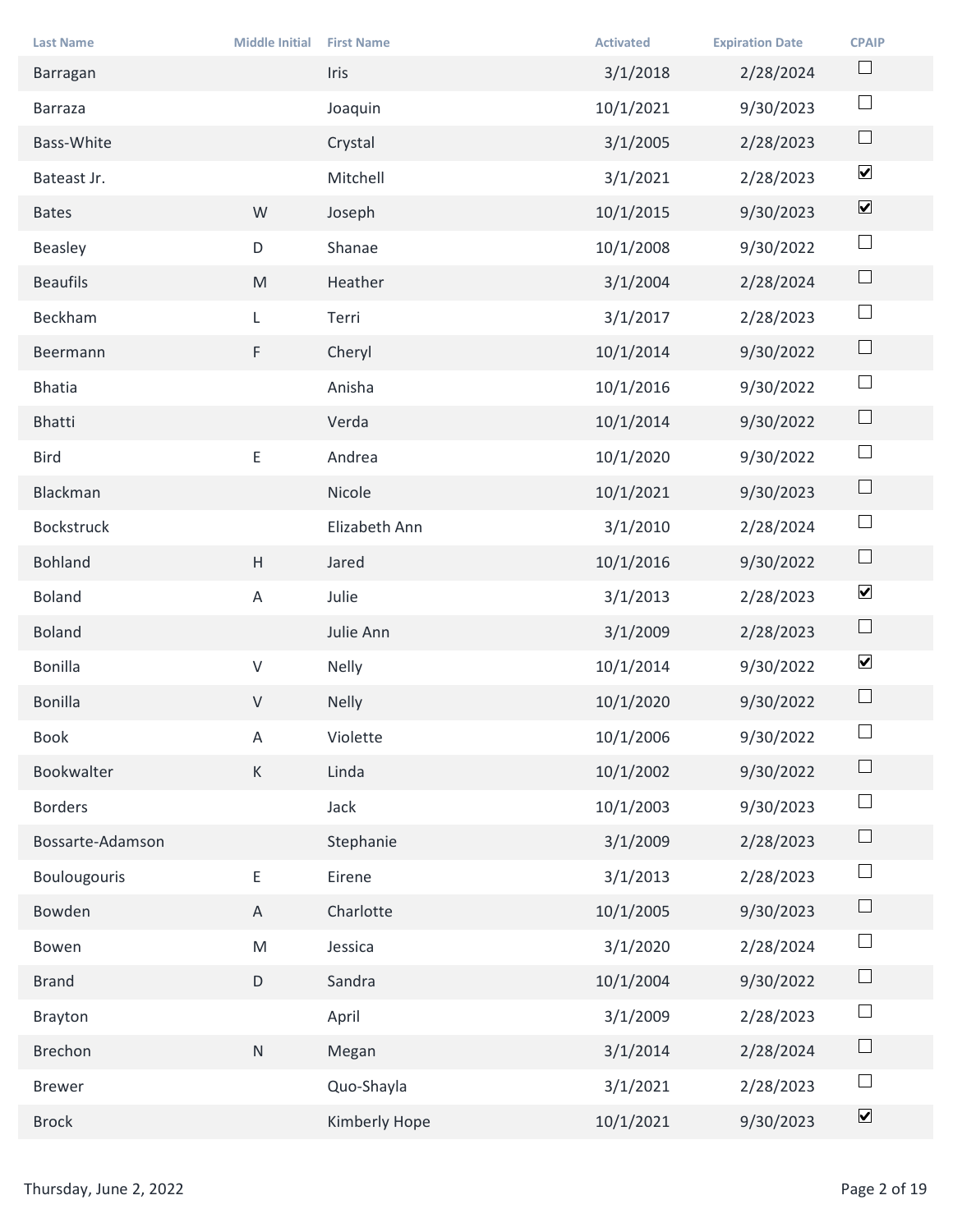| <b>Last Name</b>       | <b>Middle Initial</b> | <b>First Name</b> | <b>Activated</b> | <b>Expiration Date</b> | <b>CPAIP</b>                 |
|------------------------|-----------------------|-------------------|------------------|------------------------|------------------------------|
| Barragan               |                       | Iris              | 3/1/2018         | 2/28/2024              | $\Box$                       |
| Barraza                |                       | Joaquin           | 10/1/2021        | 9/30/2023              | $\Box$                       |
| Bass-White             |                       | Crystal           | 3/1/2005         | 2/28/2023              | $\Box$                       |
| Bateast Jr.            |                       | Mitchell          | 3/1/2021         | 2/28/2023              | $\blacktriangledown$         |
| <b>Bates</b>           | W                     | Joseph            | 10/1/2015        | 9/30/2023              | $\boxed{\blacktriangledown}$ |
| Beasley                | $\mathsf D$           | Shanae            | 10/1/2008        | 9/30/2022              | $\Box$                       |
| <b>Beaufils</b>        | M                     | Heather           | 3/1/2004         | 2/28/2024              | $\Box$                       |
| Beckham                | L                     | Terri             | 3/1/2017         | 2/28/2023              | $\Box$                       |
| Beermann               | F                     | Cheryl            | 10/1/2014        | 9/30/2022              | $\Box$                       |
| <b>Bhatia</b>          |                       | Anisha            | 10/1/2016        | 9/30/2022              | $\Box$                       |
| Bhatti                 |                       | Verda             | 10/1/2014        | 9/30/2022              | $\Box$                       |
| Bird                   | E                     | Andrea            | 10/1/2020        | 9/30/2022              | $\Box$                       |
| Blackman               |                       | Nicole            | 10/1/2021        | 9/30/2023              | $\Box$                       |
| Bockstruck             |                       | Elizabeth Ann     | 3/1/2010         | 2/28/2024              | $\Box$                       |
| Bohland                | $\mathsf H$           | Jared             | 10/1/2016        | 9/30/2022              | $\Box$                       |
| Boland                 | $\mathsf{A}$          | Julie             | 3/1/2013         | 2/28/2023              | $\blacktriangledown$         |
| <b>Boland</b>          |                       | Julie Ann         | 3/1/2009         | 2/28/2023              | $\Box$                       |
| Bonilla                | $\mathsf{V}$          | Nelly             | 10/1/2014        | 9/30/2022              | $\blacktriangledown$         |
| Bonilla                | ${\sf V}$             | Nelly             | 10/1/2020        | 9/30/2022              | $\Box$                       |
| Book                   | $\mathsf{A}$          | Violette          | 10/1/2006        | 9/30/2022              | $\Box$                       |
| Bookwalter             | K                     | Linda             | 10/1/2002        | 9/30/2022              | $\Box$                       |
| Borders                |                       | Jack              | 10/1/2003        | 9/30/2023              | $\Box$                       |
| Bossarte-Adamson       |                       | Stephanie         | 3/1/2009         | 2/28/2023              | $\Box$                       |
| Boulougouris           | $\mathsf{E}^-$        | Eirene            | 3/1/2013         | 2/28/2023              | $\Box$                       |
| Bowden                 | $\mathsf{A}$          | Charlotte         | 10/1/2005        | 9/30/2023              | $\Box$                       |
| Bowen                  | M                     | Jessica           | 3/1/2020         | 2/28/2024              | $\Box$                       |
| <b>Brand</b>           | $\mathsf D$           | Sandra            | 10/1/2004        | 9/30/2022              | $\Box$                       |
| Brayton                |                       | April             | 3/1/2009         | 2/28/2023              | $\Box$                       |
| Brechon                | N                     | Megan             | 3/1/2014         | 2/28/2024              | $\Box$                       |
| <b>Brewer</b>          |                       | Quo-Shayla        | 3/1/2021         | 2/28/2023              | $\Box$                       |
| <b>Brock</b>           |                       | Kimberly Hope     | 10/1/2021        | 9/30/2023              | $\boxed{\blacktriangledown}$ |
|                        |                       |                   |                  |                        |                              |
| Thursday, June 2, 2022 |                       |                   |                  |                        | Page 2 of 19                 |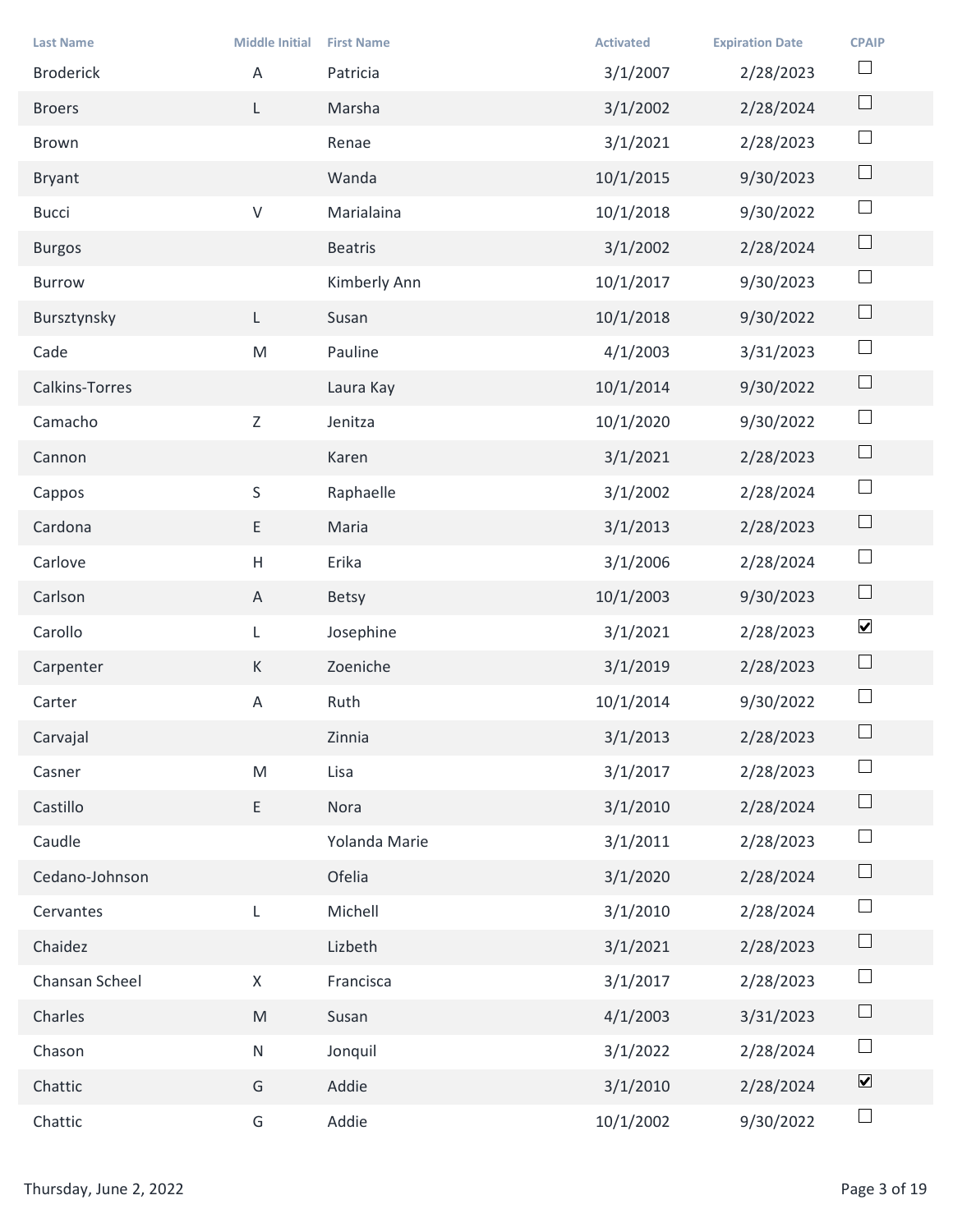| <b>Last Name</b>       | <b>Middle Initial</b> | <b>First Name</b> | <b>Activated</b> | <b>Expiration Date</b> | <b>CPAIP</b>                 |
|------------------------|-----------------------|-------------------|------------------|------------------------|------------------------------|
| <b>Broderick</b>       | Α                     | Patricia          | 3/1/2007         | 2/28/2023              | $\Box$                       |
| <b>Broers</b>          | L.                    | Marsha            | 3/1/2002         | 2/28/2024              | $\Box$                       |
| Brown                  |                       | Renae             | 3/1/2021         | 2/28/2023              | $\Box$                       |
| Bryant                 |                       | Wanda             | 10/1/2015        | 9/30/2023              | $\hfill \square$             |
| <b>Bucci</b>           | ${\sf V}$             | Marialaina        | 10/1/2018        | 9/30/2022              | $\Box$                       |
| <b>Burgos</b>          |                       | Beatris           | 3/1/2002         | 2/28/2024              | $\Box$                       |
| Burrow                 |                       | Kimberly Ann      | 10/1/2017        | 9/30/2023              | $\Box$                       |
| Bursztynsky            |                       | Susan             | 10/1/2018        | 9/30/2022              | $\Box$                       |
| Cade                   | ${\sf M}$             | Pauline           | 4/1/2003         | 3/31/2023              | $\Box$                       |
| Calkins-Torres         |                       | Laura Kay         | 10/1/2014        | 9/30/2022              | $\Box$                       |
| Camacho                | Z                     | Jenitza           | 10/1/2020        | 9/30/2022              | $\Box$                       |
| Cannon                 |                       | Karen             | 3/1/2021         | 2/28/2023              | $\Box$                       |
| Cappos                 | S                     | Raphaelle         | 3/1/2002         | 2/28/2024              | $\Box$                       |
| Cardona                | $\mathsf{E}^-$        | Maria             | 3/1/2013         | 2/28/2023              | $\Box$                       |
| Carlove                | $\mathsf H$           | Erika             | 3/1/2006         | 2/28/2024              | $\Box$                       |
| Carlson                | $\mathsf{A}$          | Betsy             | 10/1/2003        | 9/30/2023              | $\Box$                       |
| Carollo                | L                     | Josephine         | 3/1/2021         | 2/28/2023              | $\blacktriangledown$         |
| Carpenter              | K                     | Zoeniche          | 3/1/2019         | 2/28/2023              | $\Box$                       |
| Carter                 | $\mathsf{A}$          | Ruth              | 10/1/2014        | 9/30/2022              | $\Box$                       |
| Carvajal               |                       | Zinnia            | 3/1/2013         | 2/28/2023              | $\Box$                       |
| Casner                 | ${\sf M}$             | Lisa              | 3/1/2017         | 2/28/2023              | $\Box$                       |
| Castillo               | $\mathsf{E}^-$        | Nora              | 3/1/2010         | 2/28/2024              | $\Box$                       |
| Caudle                 |                       | Yolanda Marie     | 3/1/2011         | 2/28/2023              | $\Box$                       |
| Cedano-Johnson         |                       | Ofelia            | 3/1/2020         | 2/28/2024              | $\Box$                       |
| Cervantes              | L                     | Michell           | 3/1/2010         | 2/28/2024              | $\Box$                       |
| Chaidez                |                       | Lizbeth           | 3/1/2021         | 2/28/2023              | $\Box$                       |
| Chansan Scheel         | X                     | Francisca         | 3/1/2017         | 2/28/2023              | $\Box$                       |
| Charles                | M                     | Susan             | 4/1/2003         | 3/31/2023              | $\Box$                       |
| Chason                 | N                     | Jonquil           | 3/1/2022         | 2/28/2024              | $\Box$                       |
| Chattic                | G                     | Addie             | 3/1/2010         | 2/28/2024              | $\boxed{\blacktriangledown}$ |
| Chattic                | G                     | Addie             | 10/1/2002        | 9/30/2022              | $\Box$                       |
|                        |                       |                   |                  |                        |                              |
| Thursday, June 2, 2022 |                       |                   |                  |                        | Page 3 of 19                 |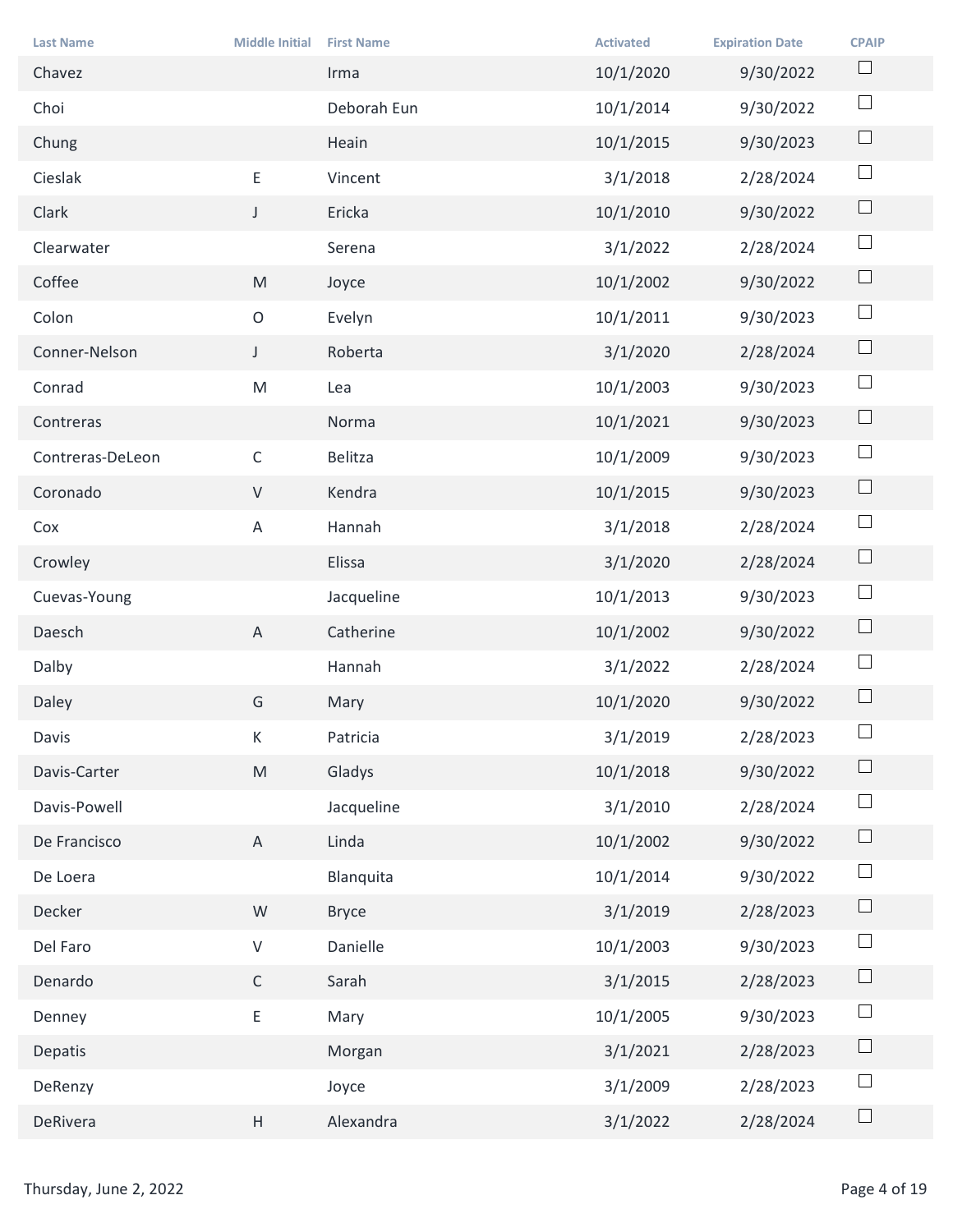| <b>Last Name</b>       | <b>Middle Initial</b>                                                                                      | <b>First Name</b> | <b>Activated</b> | <b>Expiration Date</b> | <b>CPAIP</b> |
|------------------------|------------------------------------------------------------------------------------------------------------|-------------------|------------------|------------------------|--------------|
| Chavez                 |                                                                                                            | Irma              | 10/1/2020        | 9/30/2022              | $\Box$       |
| Choi                   |                                                                                                            | Deborah Eun       | 10/1/2014        | 9/30/2022              | $\Box$       |
| Chung                  |                                                                                                            | Heain             | 10/1/2015        | 9/30/2023              | $\Box$       |
| Cieslak                | E                                                                                                          | Vincent           | 3/1/2018         | 2/28/2024              | $\Box$       |
| Clark                  | J                                                                                                          | Ericka            | 10/1/2010        | 9/30/2022              | $\Box$       |
| Clearwater             |                                                                                                            | Serena            | 3/1/2022         | 2/28/2024              | $\Box$       |
| Coffee                 | M                                                                                                          | Joyce             | 10/1/2002        | 9/30/2022              | $\Box$       |
| Colon                  | $\mathsf{O}$                                                                                               | Evelyn            | 10/1/2011        | 9/30/2023              | $\Box$       |
| Conner-Nelson          | $\mathsf J$                                                                                                | Roberta           | 3/1/2020         | 2/28/2024              | $\Box$       |
| Conrad                 | $\mathsf{M}% _{T}=\mathsf{M}_{T}\!\left( a,b\right) ,\ \mathsf{M}_{T}=\mathsf{M}_{T}\!\left( a,b\right) ,$ | Lea               | 10/1/2003        | 9/30/2023              | $\Box$       |
| Contreras              |                                                                                                            | Norma             | 10/1/2021        | 9/30/2023              | $\Box$       |
| Contreras-DeLeon       | $\mathsf C$                                                                                                | Belitza           | 10/1/2009        | 9/30/2023              | $\Box$       |
| Coronado               | $\vee$                                                                                                     | Kendra            | 10/1/2015        | 9/30/2023              | $\Box$       |
| Cox                    | $\mathsf{A}$                                                                                               | Hannah            | 3/1/2018         | 2/28/2024              | $\Box$       |
| Crowley                |                                                                                                            | Elissa            | 3/1/2020         | 2/28/2024              | $\Box$       |
| Cuevas-Young           |                                                                                                            | Jacqueline        | 10/1/2013        | 9/30/2023              | $\Box$       |
| Daesch                 | $\mathsf{A}$                                                                                               | Catherine         | 10/1/2002        | 9/30/2022              | $\Box$       |
| Dalby                  |                                                                                                            | Hannah            | 3/1/2022         | 2/28/2024              | $\Box$       |
| Daley                  | G                                                                                                          | Mary              | 10/1/2020        | 9/30/2022              | $\Box$       |
| Davis                  | $\mathsf K$                                                                                                | Patricia          | 3/1/2019         | 2/28/2023              | $\Box$       |
| Davis-Carter           | M                                                                                                          | Gladys            | 10/1/2018        | 9/30/2022              | $\Box$       |
| Davis-Powell           |                                                                                                            | Jacqueline        | 3/1/2010         | 2/28/2024              | $\Box$       |
| De Francisco           | A                                                                                                          | Linda             | 10/1/2002        | 9/30/2022              | $\Box$       |
| De Loera               |                                                                                                            | Blanquita         | 10/1/2014        | 9/30/2022              | $\Box$       |
| Decker                 | ${\mathsf W}$                                                                                              | <b>Bryce</b>      | 3/1/2019         | 2/28/2023              | $\Box$       |
| Del Faro               | ${\sf V}$                                                                                                  | Danielle          | 10/1/2003        | 9/30/2023              | $\Box$       |
| Denardo                | $\mathsf{C}$                                                                                               | Sarah             | 3/1/2015         | 2/28/2023              | $\Box$       |
| Denney                 | E.                                                                                                         | Mary              | 10/1/2005        | 9/30/2023              | $\Box$       |
| Depatis                |                                                                                                            | Morgan            | 3/1/2021         | 2/28/2023              | $\Box$       |
| DeRenzy                |                                                                                                            | Joyce             | 3/1/2009         | 2/28/2023              | $\Box$       |
| DeRivera               | H                                                                                                          | Alexandra         | 3/1/2022         | 2/28/2024              | $\Box$       |
|                        |                                                                                                            |                   |                  |                        |              |
| Thursday, June 2, 2022 |                                                                                                            |                   |                  |                        | Page 4 of 19 |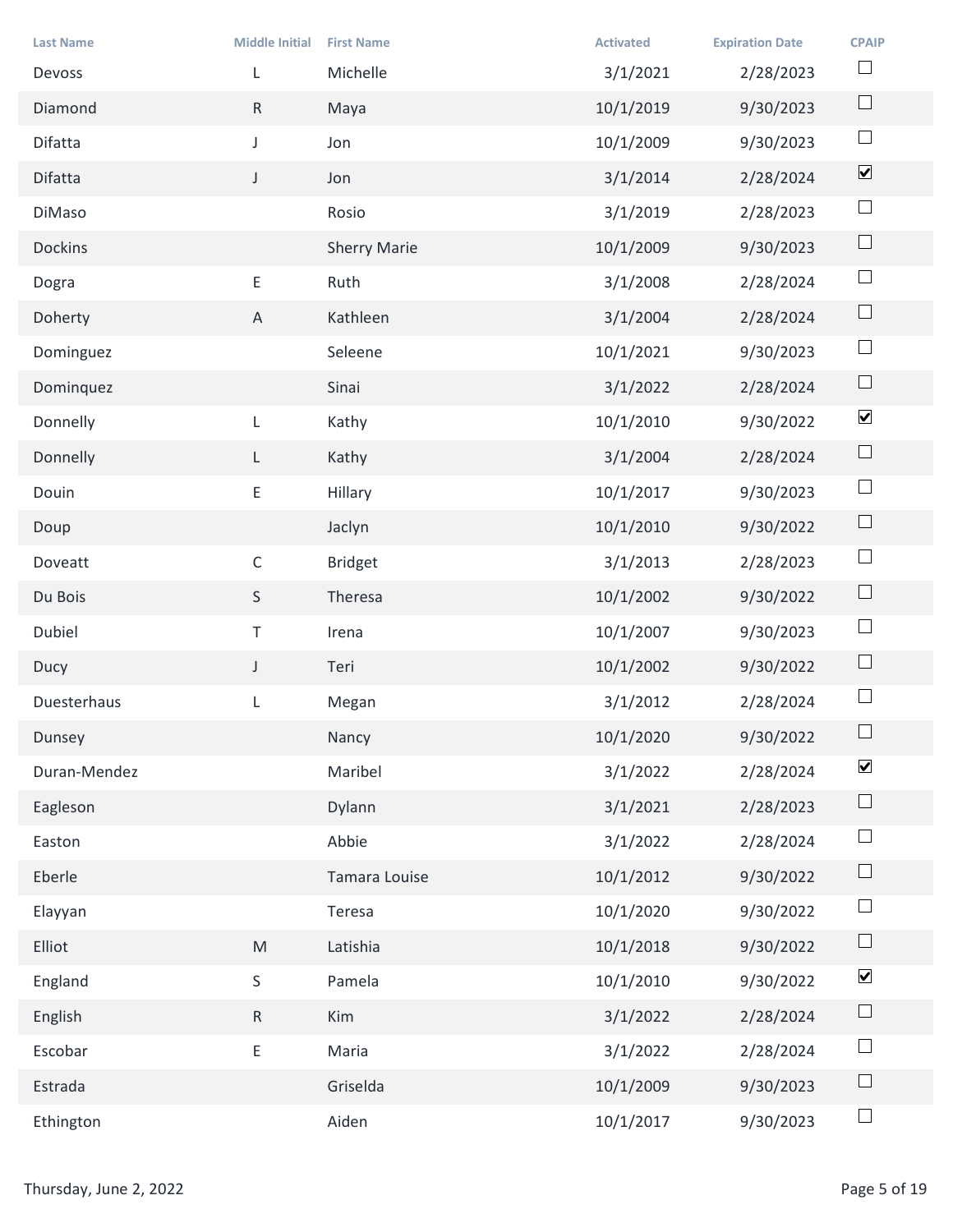| <b>Last Name</b>       | <b>Middle Initial</b> | <b>First Name</b>   | <b>Activated</b> | <b>Expiration Date</b> | <b>CPAIP</b>                 |
|------------------------|-----------------------|---------------------|------------------|------------------------|------------------------------|
| Devoss                 | L                     | Michelle            | 3/1/2021         | 2/28/2023              | $\Box$                       |
| Diamond                | R                     | Maya                | 10/1/2019        | 9/30/2023              | $\Box$                       |
| Difatta                | $\mathsf{J}$          | Jon                 | 10/1/2009        | 9/30/2023              | $\Box$                       |
| Difatta                | $\mathsf{J}$          | Jon                 | 3/1/2014         | 2/28/2024              | $\boxed{\blacktriangledown}$ |
| DiMaso                 |                       | Rosio               | 3/1/2019         | 2/28/2023              | $\Box$                       |
| Dockins                |                       | <b>Sherry Marie</b> | 10/1/2009        | 9/30/2023              | $\Box$                       |
| Dogra                  | E                     | Ruth                | 3/1/2008         | 2/28/2024              | $\Box$                       |
| Doherty                | $\mathsf{A}$          | Kathleen            | 3/1/2004         | 2/28/2024              | $\Box$                       |
| Dominguez              |                       | Seleene             | 10/1/2021        | 9/30/2023              | $\Box$                       |
| Dominquez              |                       | Sinai               | 3/1/2022         | 2/28/2024              | $\Box$                       |
| Donnelly               | L                     | Kathy               | 10/1/2010        | 9/30/2022              | $\blacktriangledown$         |
| Donnelly               | $\mathsf{L}$          | Kathy               | 3/1/2004         | 2/28/2024              | $\Box$                       |
| Douin                  | $\mathsf{E}$          | Hillary             | 10/1/2017        | 9/30/2023              | $\Box$                       |
| Doup                   |                       | Jaclyn              | 10/1/2010        | 9/30/2022              | $\Box$                       |
| Doveatt                | $\mathsf C$           | <b>Bridget</b>      | 3/1/2013         | 2/28/2023              | $\Box$                       |
| Du Bois                | S                     | Theresa             | 10/1/2002        | 9/30/2022              | $\Box$                       |
| Dubiel                 | $\top$                | Irena               | 10/1/2007        | 9/30/2023              | $\Box$                       |
| Ducy                   | $\mathsf J$           | Teri                | 10/1/2002        | 9/30/2022              | $\Box$                       |
| Duesterhaus            | L                     | Megan               | 3/1/2012         | 2/28/2024              | $\Box$                       |
| Dunsey                 |                       | Nancy               | 10/1/2020        | 9/30/2022              | $\Box$                       |
| Duran-Mendez           |                       | Maribel             | 3/1/2022         | 2/28/2024              | $\blacktriangledown$         |
| Eagleson               |                       | Dylann              | 3/1/2021         | 2/28/2023              | $\Box$                       |
| Easton                 |                       | Abbie               | 3/1/2022         | 2/28/2024              | $\Box$                       |
| Eberle                 |                       | Tamara Louise       | 10/1/2012        | 9/30/2022              | $\Box$                       |
| Elayyan                |                       | Teresa              | 10/1/2020        | 9/30/2022              | $\Box$                       |
| Elliot                 | M                     | Latishia            | 10/1/2018        | 9/30/2022              | $\Box$                       |
| England                | S                     | Pamela              | 10/1/2010        | 9/30/2022              | $\blacktriangledown$         |
| English                | R                     | Kim                 | 3/1/2022         | 2/28/2024              | $\Box$                       |
| Escobar                | ${\sf E}^-$           | Maria               | 3/1/2022         | 2/28/2024              | $\Box$                       |
| Estrada                |                       | Griselda            | 10/1/2009        | 9/30/2023              | $\Box$                       |
| Ethington              |                       | Aiden               | 10/1/2017        | 9/30/2023              | $\Box$                       |
|                        |                       |                     |                  |                        |                              |
| Thursday, June 2, 2022 |                       |                     |                  |                        | Page 5 of 19                 |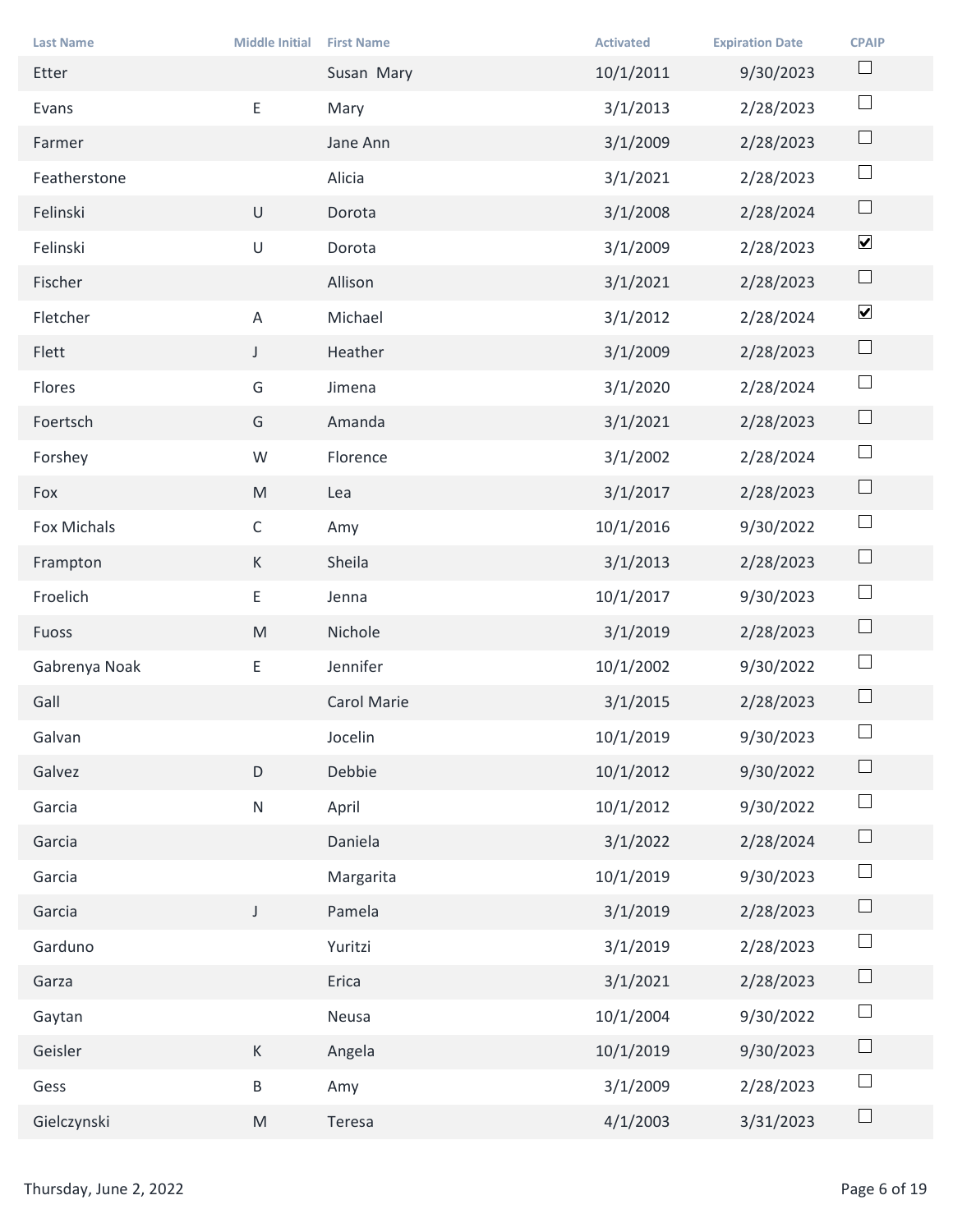| <b>Last Name</b>       | <b>Middle Initial</b> | <b>First Name</b> | <b>Activated</b> | <b>Expiration Date</b> | <b>CPAIP</b><br>$\Box$         |
|------------------------|-----------------------|-------------------|------------------|------------------------|--------------------------------|
| Etter                  |                       | Susan Mary        | 10/1/2011        | 9/30/2023              | $\Box$                         |
| Evans                  | E                     | Mary              | 3/1/2013         | 2/28/2023              | $\Box$                         |
| Farmer                 |                       | Jane Ann          | 3/1/2009         | 2/28/2023              |                                |
| Featherstone           |                       | Alicia            | 3/1/2021         | 2/28/2023              | $\Box$                         |
| Felinski               | $\cup$                | Dorota            | 3/1/2008         | 2/28/2024              | $\Box$                         |
| Felinski               | $\sf U$               | Dorota            | 3/1/2009         | 2/28/2023              | $\blacktriangledown$           |
| Fischer                |                       | Allison           | 3/1/2021         | 2/28/2023              | $\Box$<br>$\blacktriangledown$ |
| Fletcher               | A                     | Michael           | 3/1/2012         | 2/28/2024              | $\Box$                         |
| Flett                  | $\mathsf J$           | Heather           | 3/1/2009         | 2/28/2023              |                                |
| Flores                 | G                     | Jimena            | 3/1/2020         | 2/28/2024              | $\Box$                         |
| Foertsch               | G                     | Amanda            | 3/1/2021         | 2/28/2023              | $\Box$                         |
| Forshey                | W                     | Florence          | 3/1/2002         | 2/28/2024              | $\Box$                         |
| Fox                    | M                     | Lea               | 3/1/2017         | 2/28/2023              | $\Box$                         |
| Fox Michals            | $\mathsf C$           | Amy               | 10/1/2016        | 9/30/2022              | $\Box$                         |
| Frampton               | K                     | Sheila            | 3/1/2013         | 2/28/2023              | $\Box$                         |
| Froelich               | E                     | Jenna             | 10/1/2017        | 9/30/2023              | $\Box$                         |
| Fuoss                  | M                     | Nichole           | 3/1/2019         | 2/28/2023              | $\Box$                         |
| Gabrenya Noak          | $\mathsf{E}^-$        | Jennifer          | 10/1/2002        | 9/30/2022              | $\Box$                         |
| Gall                   |                       | Carol Marie       | 3/1/2015         | 2/28/2023              | $\Box$                         |
| Galvan                 |                       | Jocelin           | 10/1/2019        | 9/30/2023              | $\Box$                         |
| Galvez                 | $\mathsf D$           | Debbie            | 10/1/2012        | 9/30/2022              | $\Box$                         |
| Garcia                 | ${\sf N}$             | April             | 10/1/2012        | 9/30/2022              | $\Box$                         |
| Garcia                 |                       | Daniela           | 3/1/2022         | 2/28/2024              | $\Box$                         |
| Garcia                 |                       | Margarita         | 10/1/2019        | 9/30/2023              | $\Box$                         |
| Garcia                 | $\mathsf{J}$          | Pamela            | 3/1/2019         | 2/28/2023              | $\Box$                         |
| Garduno                |                       | Yuritzi           | 3/1/2019         | 2/28/2023              | $\Box$                         |
| Garza                  |                       | Erica             | 3/1/2021         | 2/28/2023              | $\Box$                         |
| Gaytan                 |                       | Neusa             | 10/1/2004        | 9/30/2022              | $\Box$                         |
| Geisler                | K                     | Angela            | 10/1/2019        | 9/30/2023              | $\Box$                         |
| Gess                   | $\mathsf B$           | Amy               | 3/1/2009         | 2/28/2023              | $\Box$                         |
| Gielczynski            | M                     | Teresa            | 4/1/2003         | 3/31/2023              | $\Box$                         |
|                        |                       |                   |                  |                        |                                |
| Thursday, June 2, 2022 |                       |                   |                  |                        | Page 6 of 19                   |
|                        |                       |                   |                  |                        |                                |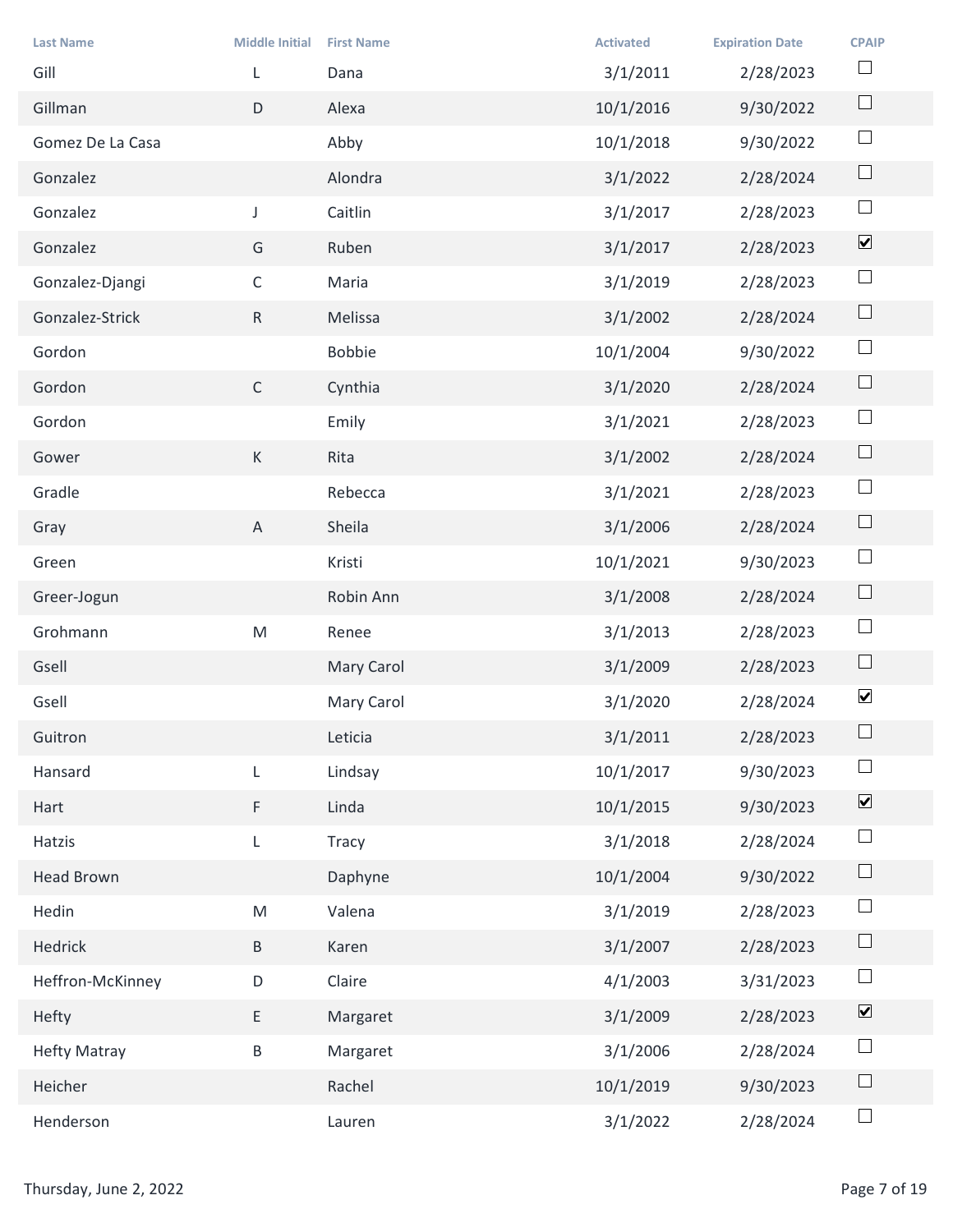|                          |                       |                           | <b>Activated</b> |                                     |                              |
|--------------------------|-----------------------|---------------------------|------------------|-------------------------------------|------------------------------|
| <b>Last Name</b><br>Gill | <b>Middle Initial</b> | <b>First Name</b><br>Dana | 3/1/2011         | <b>Expiration Date</b><br>2/28/2023 | <b>CPAIP</b><br>$\Box$       |
| Gillman                  | $\mathsf D$           | Alexa                     | 10/1/2016        | 9/30/2022                           | $\Box$                       |
| Gomez De La Casa         |                       | Abby                      | 10/1/2018        | 9/30/2022                           | $\Box$                       |
| Gonzalez                 |                       | Alondra                   | 3/1/2022         | 2/28/2024                           | $\Box$                       |
| Gonzalez                 | $\mathsf{J}$          | Caitlin                   | 3/1/2017         | 2/28/2023                           | $\Box$                       |
| Gonzalez                 | G                     | Ruben                     | 3/1/2017         | 2/28/2023                           | $\boxed{\blacktriangledown}$ |
| Gonzalez-Djangi          | $\mathsf{C}$          | Maria                     | 3/1/2019         | 2/28/2023                           | $\Box$                       |
| Gonzalez-Strick          | $\mathsf{R}$          | Melissa                   | 3/1/2002         | 2/28/2024                           | $\Box$                       |
| Gordon                   |                       | Bobbie                    | 10/1/2004        | 9/30/2022                           | $\overline{\phantom{a}}$     |
| Gordon                   | $\mathsf{C}$          | Cynthia                   | 3/1/2020         | 2/28/2024                           | $\Box$                       |
| Gordon                   |                       | Emily                     | 3/1/2021         | 2/28/2023                           | $\Box$                       |
| Gower                    | K                     | Rita                      | 3/1/2002         | 2/28/2024                           | $\Box$                       |
| Gradle                   |                       | Rebecca                   | 3/1/2021         | 2/28/2023                           | $\Box$                       |
| Gray                     | $\mathsf{A}$          | Sheila                    | 3/1/2006         | 2/28/2024                           | $\Box$                       |
| Green                    |                       | Kristi                    | 10/1/2021        | 9/30/2023                           | $\Box$                       |
| Greer-Jogun              |                       | Robin Ann                 | 3/1/2008         | 2/28/2024                           | $\Box$                       |
| Grohmann                 | M                     | Renee                     | 3/1/2013         | 2/28/2023                           | $\Box$                       |
| Gsell                    |                       | Mary Carol                | 3/1/2009         | 2/28/2023                           | $\Box$                       |
| Gsell                    |                       | Mary Carol                | 3/1/2020         | 2/28/2024                           | $\blacktriangledown$         |
| Guitron                  |                       | Leticia                   | 3/1/2011         | 2/28/2023                           | $\Box$                       |
| Hansard                  | $\mathsf{L}$          | Lindsay                   | 10/1/2017        | 9/30/2023                           | $\Box$                       |
| Hart                     | $\mathsf F$           | Linda                     | 10/1/2015        | 9/30/2023                           | $\boxed{\blacktriangledown}$ |
| Hatzis                   | L                     | Tracy                     | 3/1/2018         | 2/28/2024                           | $\Box$                       |
| <b>Head Brown</b>        |                       | Daphyne                   | 10/1/2004        | 9/30/2022                           | $\Box$                       |
| Hedin                    | M                     | Valena                    | 3/1/2019         | 2/28/2023                           | $\Box$                       |
| Hedrick                  | $\, {\sf B} \,$       | Karen                     | 3/1/2007         | 2/28/2023                           | $\Box$                       |
| Heffron-McKinney         | $\mathsf D$           | Claire                    | 4/1/2003         | 3/31/2023                           | $\Box$                       |
| Hefty                    | E                     | Margaret                  | 3/1/2009         | 2/28/2023                           | $\overline{\mathbf{v}}$      |
| <b>Hefty Matray</b>      | B                     | Margaret                  | 3/1/2006         | 2/28/2024                           | $\Box$                       |
| Heicher                  |                       | Rachel                    | 10/1/2019        | 9/30/2023                           | $\Box$                       |
| Henderson                |                       | Lauren                    | 3/1/2022         | 2/28/2024                           | $\Box$                       |
| Thursday, June 2, 2022   |                       |                           |                  |                                     | Page 7 of 19                 |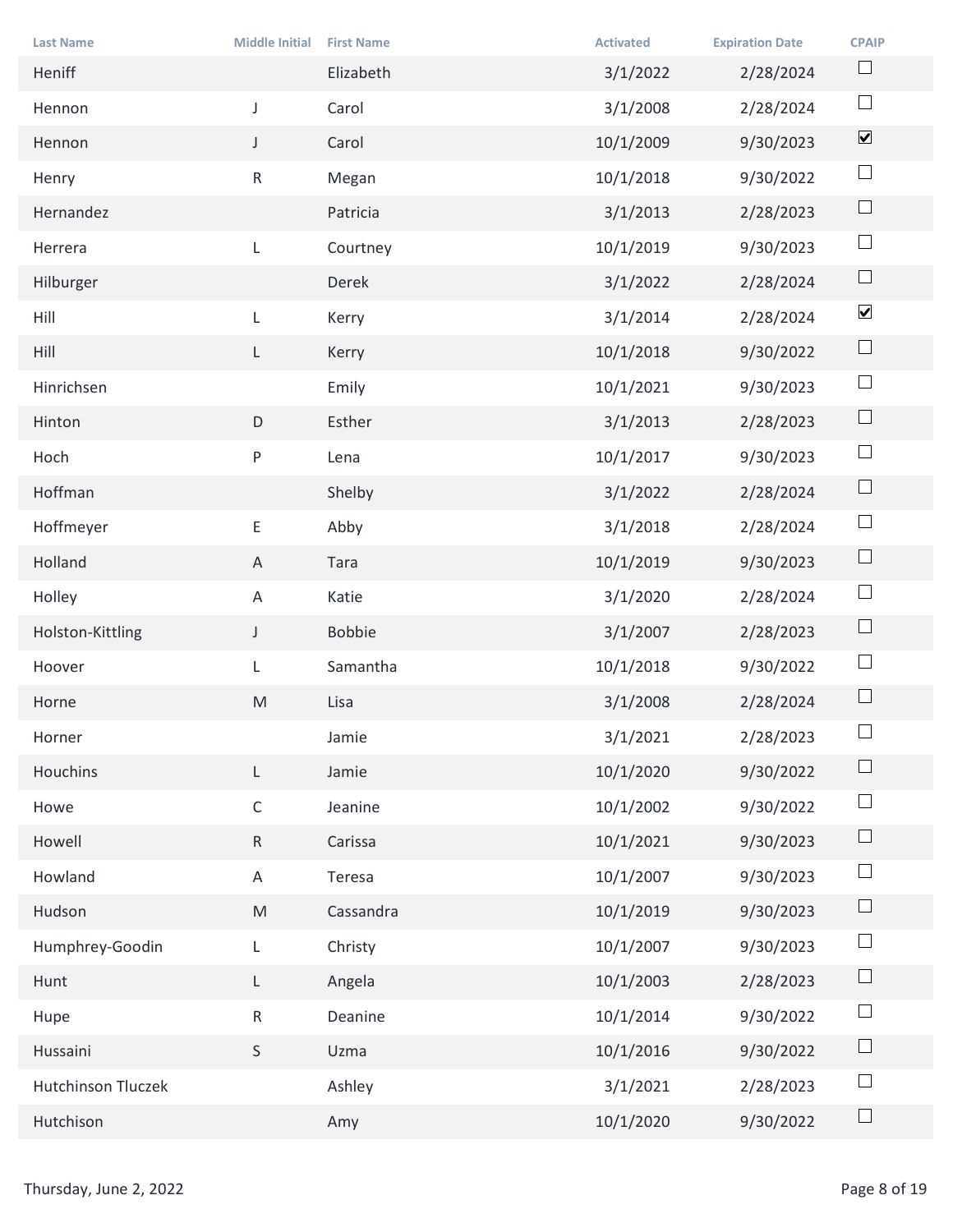| <b>Last Name</b>       | <b>Middle Initial</b> | <b>First Name</b> | <b>Activated</b> | <b>Expiration Date</b> | <b>CPAIP</b>                 |
|------------------------|-----------------------|-------------------|------------------|------------------------|------------------------------|
| Heniff                 |                       | Elizabeth         | 3/1/2022         | 2/28/2024              | $\Box$                       |
| Hennon                 | $\mathsf{J}^-$        | Carol             | 3/1/2008         | 2/28/2024              | $\Box$                       |
| Hennon                 | J                     | Carol             | 10/1/2009        | 9/30/2023              | $\boxed{\blacktriangledown}$ |
| Henry                  | $R_{\parallel}$       | Megan             | 10/1/2018        | 9/30/2022              | $\Box$                       |
| Hernandez              |                       | Patricia          | 3/1/2013         | 2/28/2023              | $\Box$                       |
| Herrera                | L                     | Courtney          | 10/1/2019        | 9/30/2023              | $\Box$                       |
| Hilburger              |                       | Derek             | 3/1/2022         | 2/28/2024              | $\Box$                       |
| Hill                   |                       | Kerry             | 3/1/2014         | 2/28/2024              | $\blacktriangledown$         |
| Hill                   | L.                    | Kerry             | 10/1/2018        | 9/30/2022              | $\Box$                       |
| Hinrichsen             |                       | Emily             | 10/1/2021        | 9/30/2023              | $\Box$                       |
| Hinton                 | D                     | Esther            | 3/1/2013         | 2/28/2023              | $\Box$                       |
| Hoch                   | P                     | Lena              | 10/1/2017        | 9/30/2023              | $\Box$                       |
| Hoffman                |                       | Shelby            | 3/1/2022         | 2/28/2024              | $\Box$                       |
| Hoffmeyer              | $\mathsf{E}^-$        | Abby              | 3/1/2018         | 2/28/2024              | $\Box$                       |
| Holland                | $\mathsf{A}$          | Tara              | 10/1/2019        | 9/30/2023              | $\Box$                       |
| Holley                 | $\mathsf{A}$          | Katie             | 3/1/2020         | 2/28/2024              | $\Box$                       |
| Holston-Kittling       | $\mathsf{J}$          | Bobbie            | 3/1/2007         | 2/28/2023              | $\Box$                       |
| Hoover                 | L                     | Samantha          | 10/1/2018        | 9/30/2022              | $\Box$                       |
| Horne                  | M                     | Lisa              | 3/1/2008         | 2/28/2024              | $\Box$                       |
| Horner                 |                       | Jamie             | 3/1/2021         | 2/28/2023              | $\Box$                       |
| Houchins               | L.                    | Jamie             | 10/1/2020        | 9/30/2022              | $\Box$                       |
| Howe                   | $\mathsf{C}$          | Jeanine           | 10/1/2002        | 9/30/2022              | $\Box$                       |
| Howell                 | R                     | Carissa           | 10/1/2021        | 9/30/2023              | $\Box$                       |
| Howland                | $\mathsf{A}$          | Teresa            | 10/1/2007        | 9/30/2023              | $\Box$                       |
| Hudson                 | M                     | Cassandra         | 10/1/2019        | 9/30/2023              | $\Box$                       |
| Humphrey-Goodin        | L                     | Christy           | 10/1/2007        | 9/30/2023              | $\Box$                       |
| Hunt                   | L.                    | Angela            | 10/1/2003        | 2/28/2023              | $\Box$                       |
| Hupe                   | $R_{\parallel}$       | Deanine           | 10/1/2014        | 9/30/2022              | $\Box$                       |
| Hussaini               | S                     | Uzma              | 10/1/2016        | 9/30/2022              | $\Box$                       |
| Hutchinson Tluczek     |                       | Ashley            | 3/1/2021         | 2/28/2023              | $\Box$                       |
| Hutchison              |                       | Amy               | 10/1/2020        | 9/30/2022              | $\Box$                       |
|                        |                       |                   |                  |                        |                              |
| Thursday, June 2, 2022 |                       |                   |                  |                        | Page 8 of 19                 |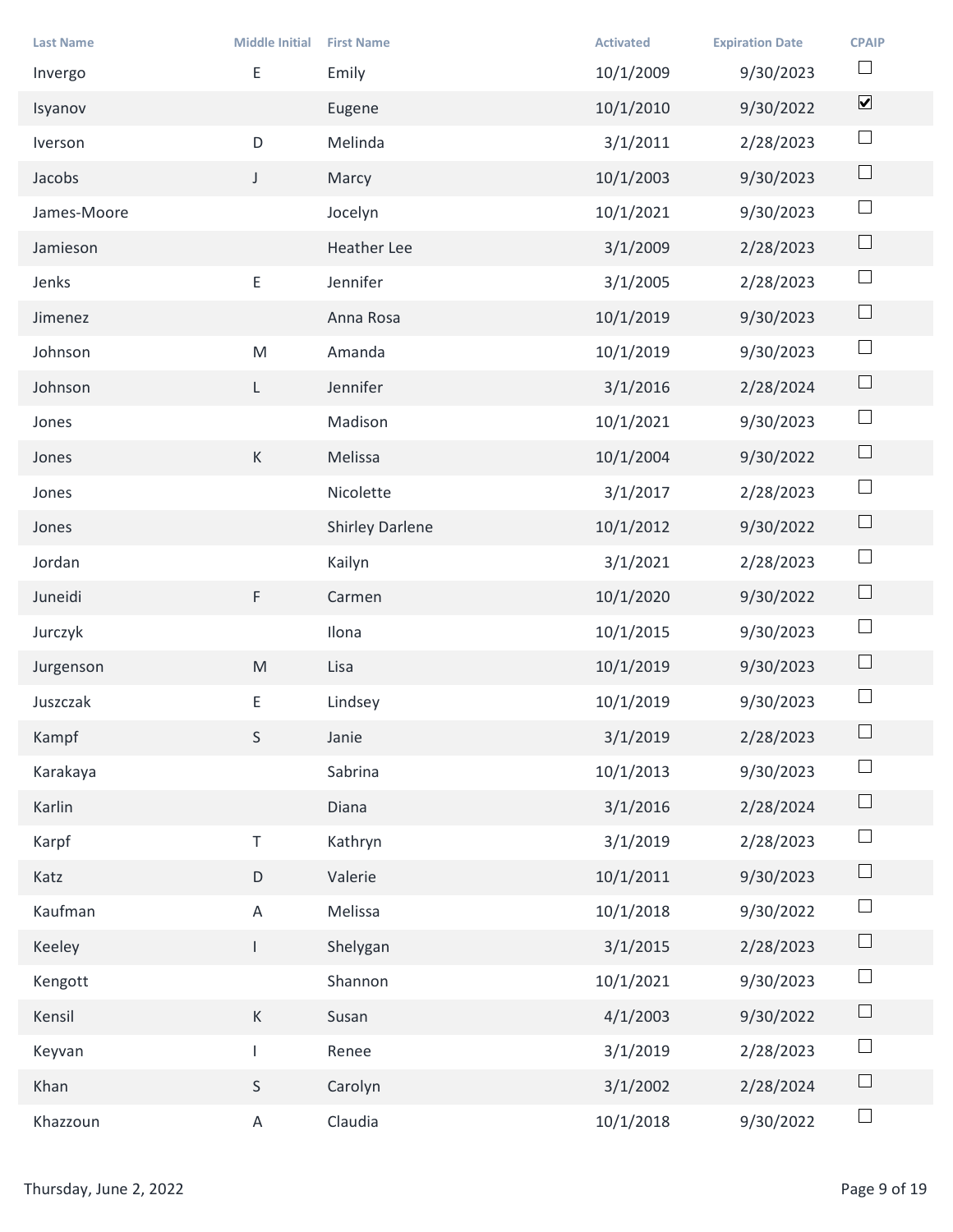| <b>Last Name</b>       | <b>Middle Initial</b> | <b>First Name</b> | <b>Activated</b> | <b>Expiration Date</b> | <b>CPAIP</b>                 |
|------------------------|-----------------------|-------------------|------------------|------------------------|------------------------------|
| Invergo                | E                     | Emily             | 10/1/2009        | 9/30/2023              | $\Box$                       |
| Isyanov                |                       | Eugene            | 10/1/2010        | 9/30/2022              | $\boxed{\blacktriangledown}$ |
| Iverson                | $\mathsf D$           | Melinda           | 3/1/2011         | 2/28/2023              | $\Box$                       |
| Jacobs                 | J                     | Marcy             | 10/1/2003        | 9/30/2023              | $\hfill \square$             |
| James-Moore            |                       | Jocelyn           | 10/1/2021        | 9/30/2023              | $\Box$                       |
| Jamieson               |                       | Heather Lee       | 3/1/2009         | 2/28/2023              | $\Box$                       |
| Jenks                  | E                     | Jennifer          | 3/1/2005         | 2/28/2023              | $\Box$                       |
| Jimenez                |                       | Anna Rosa         | 10/1/2019        | 9/30/2023              | $\Box$                       |
| Johnson                | ${\sf M}$             | Amanda            | 10/1/2019        | 9/30/2023              | $\overline{\phantom{a}}$     |
| Johnson                | $\mathsf{L}$          | Jennifer          | 3/1/2016         | 2/28/2024              | $\Box$                       |
| Jones                  |                       | Madison           | 10/1/2021        | 9/30/2023              | $\Box$                       |
| Jones                  | K                     | Melissa           | 10/1/2004        | 9/30/2022              | $\Box$                       |
| Jones                  |                       | Nicolette         | 3/1/2017         | 2/28/2023              | $\Box$                       |
| Jones                  |                       | Shirley Darlene   | 10/1/2012        | 9/30/2022              | $\Box$                       |
| Jordan                 |                       | Kailyn            | 3/1/2021         | 2/28/2023              | $\Box$                       |
| Juneidi                | F                     | Carmen            | 10/1/2020        | 9/30/2022              | $\Box$                       |
| Jurczyk                |                       | Ilona             | 10/1/2015        | 9/30/2023              | $\Box$                       |
| Jurgenson              | M                     | Lisa              | 10/1/2019        | 9/30/2023              | $\Box$                       |
| Juszczak               | $\mathsf{E}^-$        | Lindsey           | 10/1/2019        | 9/30/2023              | $\Box$                       |
| Kampf                  | S                     | Janie             | 3/1/2019         | 2/28/2023              | $\Box$                       |
| Karakaya               |                       | Sabrina           | 10/1/2013        | 9/30/2023              | $\Box$                       |
| Karlin                 |                       | Diana             | 3/1/2016         | 2/28/2024              | $\Box$                       |
| Karpf                  | $\top$                | Kathryn           | 3/1/2019         | 2/28/2023              | $\Box$                       |
| Katz                   | $\mathsf D$           | Valerie           | 10/1/2011        | 9/30/2023              | $\Box$                       |
| Kaufman                | $\mathsf{A}$          | Melissa           | 10/1/2018        | 9/30/2022              | $\Box$                       |
| Keeley                 | $\mathbf{L}$          | Shelygan          | 3/1/2015         | 2/28/2023              | $\Box$                       |
| Kengott                |                       | Shannon           | 10/1/2021        | 9/30/2023              | $\Box$                       |
| Kensil                 | K                     | Susan             | 4/1/2003         | 9/30/2022              | $\Box$                       |
| Keyvan                 | $\pm$                 | Renee             | 3/1/2019         | 2/28/2023              | $\Box$                       |
| Khan                   | S                     | Carolyn           | 3/1/2002         | 2/28/2024              | $\Box$                       |
| Khazzoun               | $\mathsf{A}$          | Claudia           | 10/1/2018        | 9/30/2022              | $\Box$                       |
|                        |                       |                   |                  |                        |                              |
| Thursday, June 2, 2022 |                       |                   |                  |                        | Page 9 of 19                 |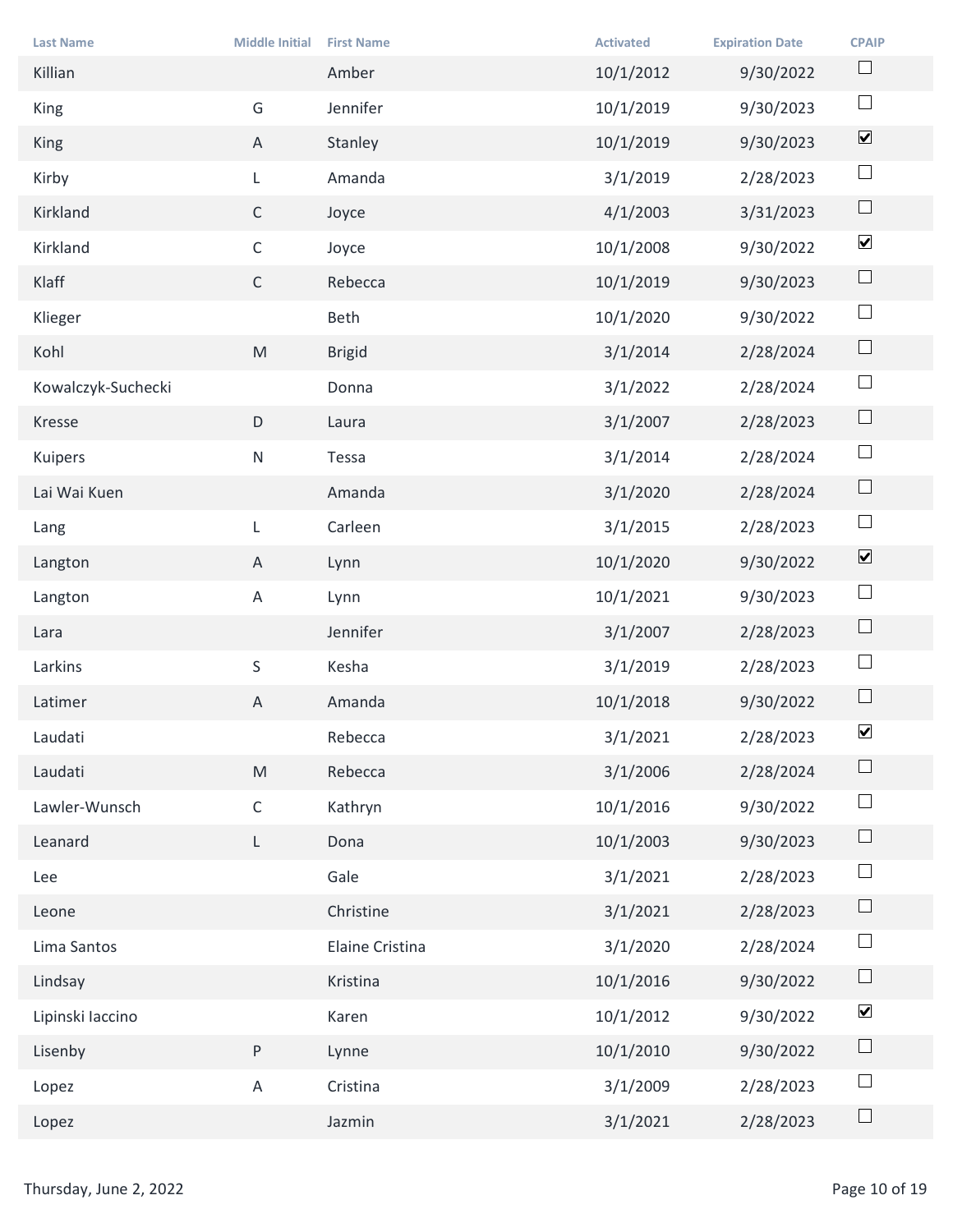|                             |                                                                                                            |                            | <b>Activated</b> |                                     |                              |
|-----------------------------|------------------------------------------------------------------------------------------------------------|----------------------------|------------------|-------------------------------------|------------------------------|
| <b>Last Name</b><br>Killian | <b>Middle Initial</b>                                                                                      | <b>First Name</b><br>Amber | 10/1/2012        | <b>Expiration Date</b><br>9/30/2022 | <b>CPAIP</b><br>$\Box$       |
| King                        | G                                                                                                          | Jennifer                   | 10/1/2019        | 9/30/2023                           | $\Box$                       |
| King                        | $\mathsf{A}$                                                                                               | Stanley                    | 10/1/2019        | 9/30/2023                           | $\boxed{\blacktriangledown}$ |
| Kirby                       | L                                                                                                          | Amanda                     | 3/1/2019         | 2/28/2023                           | $\Box$                       |
| Kirkland                    | $\mathsf{C}$                                                                                               | Joyce                      | 4/1/2003         | 3/31/2023                           | $\Box$                       |
| Kirkland                    | $\mathsf C$                                                                                                | Joyce                      | 10/1/2008        | 9/30/2022                           | $\blacktriangledown$         |
| Klaff                       | $\mathsf{C}$                                                                                               | Rebecca                    | 10/1/2019        | 9/30/2023                           | $\Box$                       |
| Klieger                     |                                                                                                            | Beth                       | 10/1/2020        | 9/30/2022                           | $\Box$                       |
| Kohl                        | $\mathsf{M}% _{T}=\mathsf{M}_{T}\!\left( a,b\right) ,\ \mathsf{M}_{T}=\mathsf{M}_{T}\!\left( a,b\right) ,$ | <b>Brigid</b>              | 3/1/2014         | 2/28/2024                           | $\Box$                       |
| Kowalczyk-Suchecki          |                                                                                                            | Donna                      | 3/1/2022         | 2/28/2024                           | $\Box$                       |
| Kresse                      | D                                                                                                          | Laura                      | 3/1/2007         | 2/28/2023                           | $\Box$                       |
| Kuipers                     | N                                                                                                          | Tessa                      | 3/1/2014         | 2/28/2024                           | $\Box$                       |
| Lai Wai Kuen                |                                                                                                            | Amanda                     | 3/1/2020         | 2/28/2024                           | $\Box$                       |
| Lang                        | $\mathsf{L}$                                                                                               | Carleen                    | 3/1/2015         | 2/28/2023                           | $\Box$                       |
| Langton                     | $\mathsf{A}$                                                                                               | Lynn                       | 10/1/2020        | 9/30/2022                           | $\boxed{\blacktriangledown}$ |
| Langton                     | $\mathsf{A}$                                                                                               | Lynn                       | 10/1/2021        | 9/30/2023                           | $\Box$                       |
| Lara                        |                                                                                                            | Jennifer                   | 3/1/2007         | 2/28/2023                           | $\Box$                       |
| Larkins                     | S                                                                                                          | Kesha                      | 3/1/2019         | 2/28/2023                           | $\Box$                       |
| Latimer                     | $\mathsf{A}$                                                                                               | Amanda                     | 10/1/2018        | 9/30/2022                           | $\Box$                       |
| Laudati                     |                                                                                                            | Rebecca                    | 3/1/2021         | 2/28/2023                           | $\blacktriangledown$         |
| Laudati                     | M                                                                                                          | Rebecca                    | 3/1/2006         | 2/28/2024                           | $\Box$                       |
| Lawler-Wunsch               | $\mathsf C$                                                                                                | Kathryn                    | 10/1/2016        | 9/30/2022                           | $\Box$                       |
| Leanard                     | $\mathsf{L}$                                                                                               | Dona                       | 10/1/2003        | 9/30/2023                           | $\Box$                       |
| Lee                         |                                                                                                            | Gale                       | 3/1/2021         | 2/28/2023                           | $\Box$                       |
| Leone                       |                                                                                                            | Christine                  | 3/1/2021         | 2/28/2023                           | $\Box$                       |
| Lima Santos                 |                                                                                                            | Elaine Cristina            | 3/1/2020         | 2/28/2024                           | $\Box$                       |
| Lindsay                     |                                                                                                            | Kristina                   | 10/1/2016        | 9/30/2022                           | $\Box$                       |
| Lipinski laccino            |                                                                                                            | Karen                      | 10/1/2012        | 9/30/2022                           | $\blacktriangledown$         |
| Lisenby                     | P.                                                                                                         | Lynne                      | 10/1/2010        | 9/30/2022                           | $\Box$                       |
| Lopez                       | $\mathsf{A}$                                                                                               | Cristina                   | 3/1/2009         | 2/28/2023                           | $\Box$                       |
| Lopez                       |                                                                                                            | Jazmin                     | 3/1/2021         | 2/28/2023                           | $\Box$                       |
|                             |                                                                                                            |                            |                  |                                     |                              |
| Thursday, June 2, 2022      |                                                                                                            |                            |                  |                                     | Page 10 of 19                |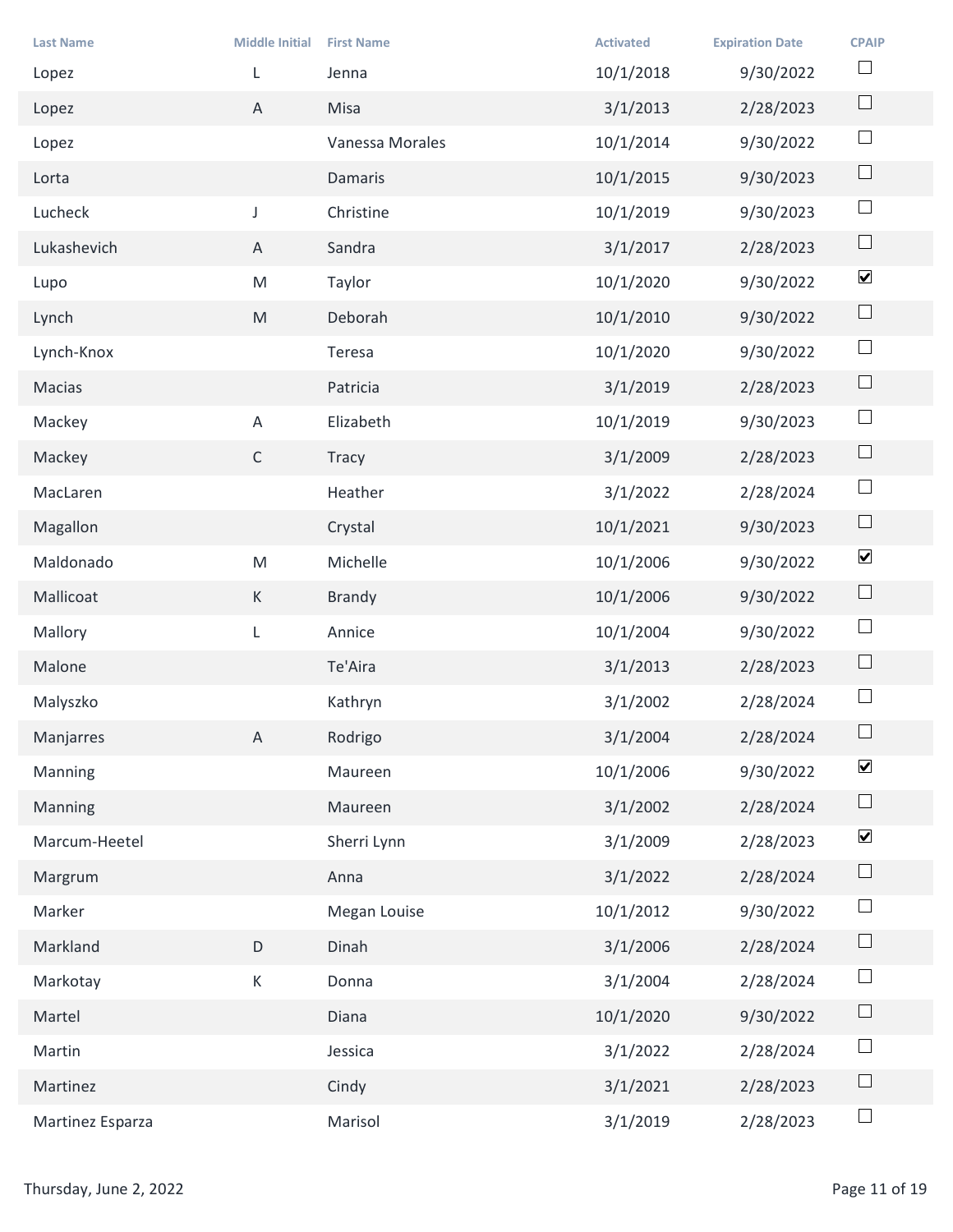| <b>Last Name</b>       | <b>Middle Initial</b>                                                                                      | <b>First Name</b> | <b>Activated</b> | <b>Expiration Date</b> | <b>CPAIP</b>             |
|------------------------|------------------------------------------------------------------------------------------------------------|-------------------|------------------|------------------------|--------------------------|
| Lopez                  |                                                                                                            | Jenna             | 10/1/2018        | 9/30/2022              | $\Box$                   |
| Lopez                  | $\mathsf{A}$                                                                                               | Misa              | 3/1/2013         | 2/28/2023              | $\Box$                   |
| Lopez                  |                                                                                                            | Vanessa Morales   | 10/1/2014        | 9/30/2022              | $\Box$                   |
| Lorta                  |                                                                                                            | Damaris           | 10/1/2015        | 9/30/2023              | $\hfill \square$         |
| Lucheck                | $\mathsf{J}$                                                                                               | Christine         | 10/1/2019        | 9/30/2023              | $\Box$                   |
| Lukashevich            | $\mathsf{A}$                                                                                               | Sandra            | 3/1/2017         | 2/28/2023              | $\Box$                   |
| Lupo                   | ${\sf M}$                                                                                                  | Taylor            | 10/1/2020        | 9/30/2022              | $\blacktriangledown$     |
| Lynch                  | M                                                                                                          | Deborah           | 10/1/2010        | 9/30/2022              | $\Box$                   |
| Lynch-Knox             |                                                                                                            | Teresa            | 10/1/2020        | 9/30/2022              | $\overline{\phantom{a}}$ |
| Macias                 |                                                                                                            | Patricia          | 3/1/2019         | 2/28/2023              | $\Box$                   |
| Mackey                 | $\mathsf{A}$                                                                                               | Elizabeth         | 10/1/2019        | 9/30/2023              | $\Box$                   |
| Mackey                 | $\mathsf{C}$                                                                                               | Tracy             | 3/1/2009         | 2/28/2023              | $\Box$                   |
| MacLaren               |                                                                                                            | Heather           | 3/1/2022         | 2/28/2024              | $\Box$                   |
| Magallon               |                                                                                                            | Crystal           | 10/1/2021        | 9/30/2023              | $\Box$                   |
| Maldonado              | $\mathsf{M}% _{T}=\mathsf{M}_{T}\!\left( a,b\right) ,\ \mathsf{M}_{T}=\mathsf{M}_{T}\!\left( a,b\right) ,$ | Michelle          | 10/1/2006        | 9/30/2022              | $\blacktriangledown$     |
| Mallicoat              | K                                                                                                          | Brandy            | 10/1/2006        | 9/30/2022              | $\Box$                   |
| Mallory                | L                                                                                                          | Annice            | 10/1/2004        | 9/30/2022              | $\Box$                   |
| Malone                 |                                                                                                            | Te'Aira           | 3/1/2013         | 2/28/2023              | $\Box$                   |
| Malyszko               |                                                                                                            | Kathryn           | 3/1/2002         | 2/28/2024              | $\Box$                   |
| Manjarres              | $\mathsf{A}$                                                                                               | Rodrigo           | 3/1/2004         | 2/28/2024              | $\Box$                   |
| Manning                |                                                                                                            | Maureen           | 10/1/2006        | 9/30/2022              | $\blacktriangledown$     |
| Manning                |                                                                                                            | Maureen           | 3/1/2002         | 2/28/2024              | $\Box$                   |
| Marcum-Heetel          |                                                                                                            | Sherri Lynn       | 3/1/2009         | 2/28/2023              | $\blacktriangledown$     |
| Margrum                |                                                                                                            | Anna              | 3/1/2022         | 2/28/2024              | $\Box$                   |
| Marker                 |                                                                                                            | Megan Louise      | 10/1/2012        | 9/30/2022              | $\Box$                   |
| Markland               | D                                                                                                          | Dinah             | 3/1/2006         | 2/28/2024              | $\Box$                   |
| Markotay               | $\mathsf{K}^-$                                                                                             | Donna             | 3/1/2004         | 2/28/2024              | $\Box$                   |
| Martel                 |                                                                                                            | Diana             | 10/1/2020        | 9/30/2022              | $\Box$                   |
| Martin                 |                                                                                                            | Jessica           | 3/1/2022         | 2/28/2024              | $\Box$                   |
| Martinez               |                                                                                                            | Cindy             | 3/1/2021         | 2/28/2023              | $\Box$                   |
| Martinez Esparza       |                                                                                                            | Marisol           | 3/1/2019         | 2/28/2023              | $\Box$                   |
|                        |                                                                                                            |                   |                  |                        |                          |
| Thursday, June 2, 2022 |                                                                                                            |                   |                  |                        | Page 11 of 19            |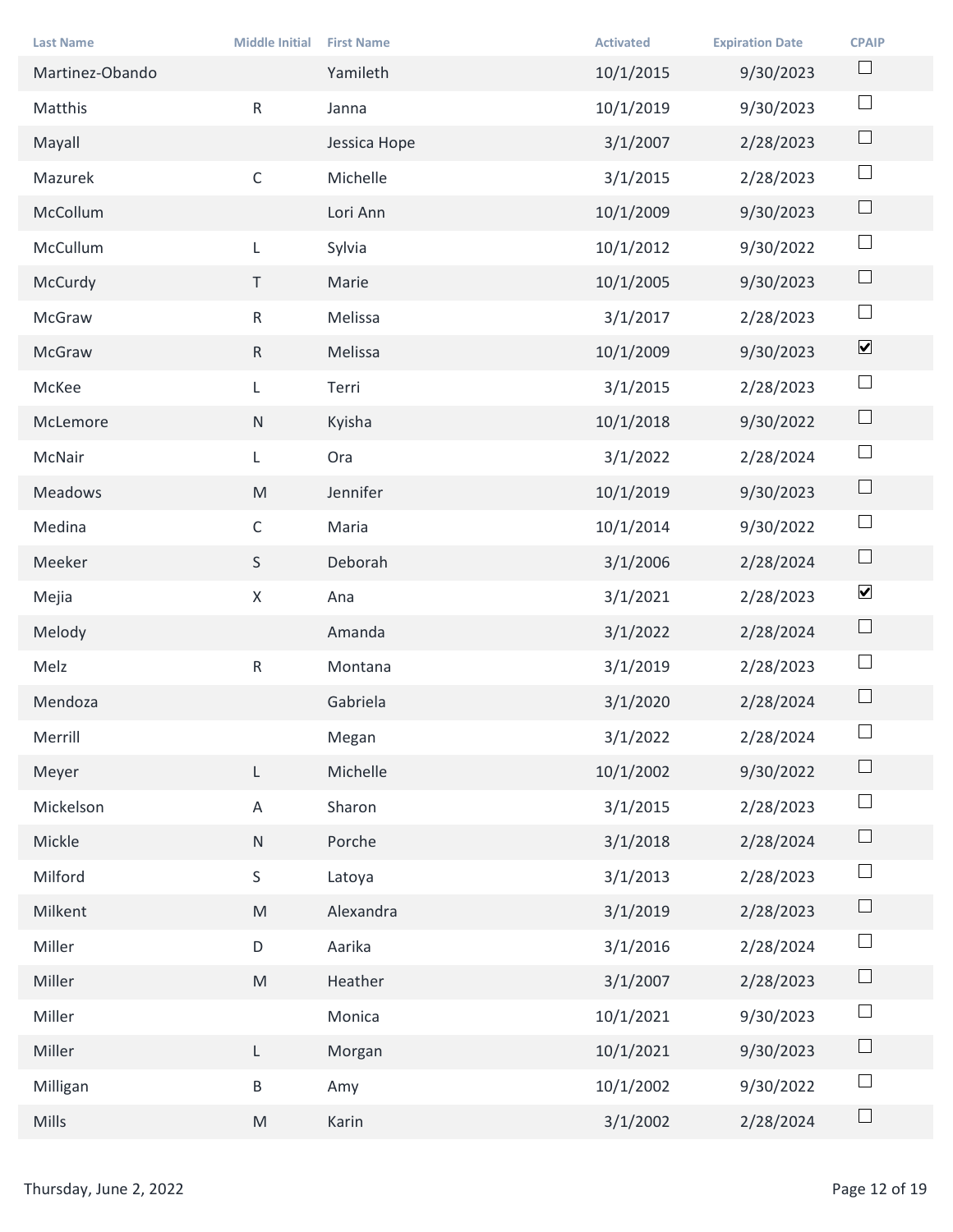| <b>Last Name</b>       | <b>Middle Initial</b> | <b>First Name</b> | <b>Activated</b> | <b>Expiration Date</b> | <b>CPAIP</b>         |
|------------------------|-----------------------|-------------------|------------------|------------------------|----------------------|
| Martinez-Obando        |                       | Yamileth          | 10/1/2015        | 9/30/2023              | $\Box$               |
| Matthis                | R                     | Janna             | 10/1/2019        | 9/30/2023              | $\Box$               |
| Mayall                 |                       | Jessica Hope      | 3/1/2007         | 2/28/2023              | $\Box$               |
| Mazurek                | $\mathsf{C}$          | Michelle          | 3/1/2015         | 2/28/2023              | $\Box$               |
| McCollum               |                       | Lori Ann          | 10/1/2009        | 9/30/2023              | $\Box$               |
| McCullum               | L                     | Sylvia            | 10/1/2012        | 9/30/2022              | $\Box$               |
| McCurdy                | T                     | Marie             | 10/1/2005        | 9/30/2023              | $\Box$               |
| McGraw                 | $\mathsf{R}$          | Melissa           | 3/1/2017         | 2/28/2023              | $\Box$               |
| McGraw                 | $\mathsf{R}$          | Melissa           | 10/1/2009        | 9/30/2023              | $\blacktriangledown$ |
| McKee                  | L.                    | Terri             | 3/1/2015         | 2/28/2023              | $\Box$               |
| McLemore               | N                     | Kyisha            | 10/1/2018        | 9/30/2022              | $\Box$               |
| McNair                 | L                     | Ora               | 3/1/2022         | 2/28/2024              | $\Box$               |
| Meadows                | ${\sf M}$             | Jennifer          | 10/1/2019        | 9/30/2023              | $\Box$               |
| Medina                 | $\mathsf C$           | Maria             | 10/1/2014        | 9/30/2022              | $\Box$               |
| Meeker                 | S                     | Deborah           | 3/1/2006         | 2/28/2024              | $\Box$               |
| Mejia                  | X                     | Ana               | 3/1/2021         | 2/28/2023              | $\blacktriangledown$ |
| Melody                 |                       | Amanda            | 3/1/2022         | 2/28/2024              | $\Box$               |
| Melz                   | $R_{\parallel}$       | Montana           | 3/1/2019         | 2/28/2023              | $\Box$               |
| Mendoza                |                       | Gabriela          | 3/1/2020         | 2/28/2024              | $\Box$               |
| Merrill                |                       | Megan             | 3/1/2022         | 2/28/2024              | $\Box$               |
| Meyer                  | L.                    | Michelle          | 10/1/2002        | 9/30/2022              | $\Box$               |
| Mickelson              | $\mathsf{A}$          | Sharon            | 3/1/2015         | 2/28/2023              | $\Box$               |
| Mickle                 | N                     | Porche            | 3/1/2018         | 2/28/2024              | $\Box$               |
| Milford                | S                     | Latoya            | 3/1/2013         | 2/28/2023              | $\Box$               |
| Milkent                | M                     | Alexandra         | 3/1/2019         | 2/28/2023              | $\Box$               |
| Miller                 | $\mathsf D$           | Aarika            | 3/1/2016         | 2/28/2024              | $\Box$               |
| Miller                 | M                     | Heather           | 3/1/2007         | 2/28/2023              | $\Box$               |
| Miller                 |                       | Monica            | 10/1/2021        | 9/30/2023              | $\Box$               |
| Miller                 | $\mathsf{L}$          | Morgan            | 10/1/2021        | 9/30/2023              | $\Box$               |
| Milligan               | $\, {\sf B} \,$       | Amy               | 10/1/2002        | 9/30/2022              | $\Box$               |
| Mills                  | M                     | Karin             | 3/1/2002         | 2/28/2024              | $\Box$               |
|                        |                       |                   |                  |                        |                      |
| Thursday, June 2, 2022 |                       |                   |                  |                        | Page 12 of 19        |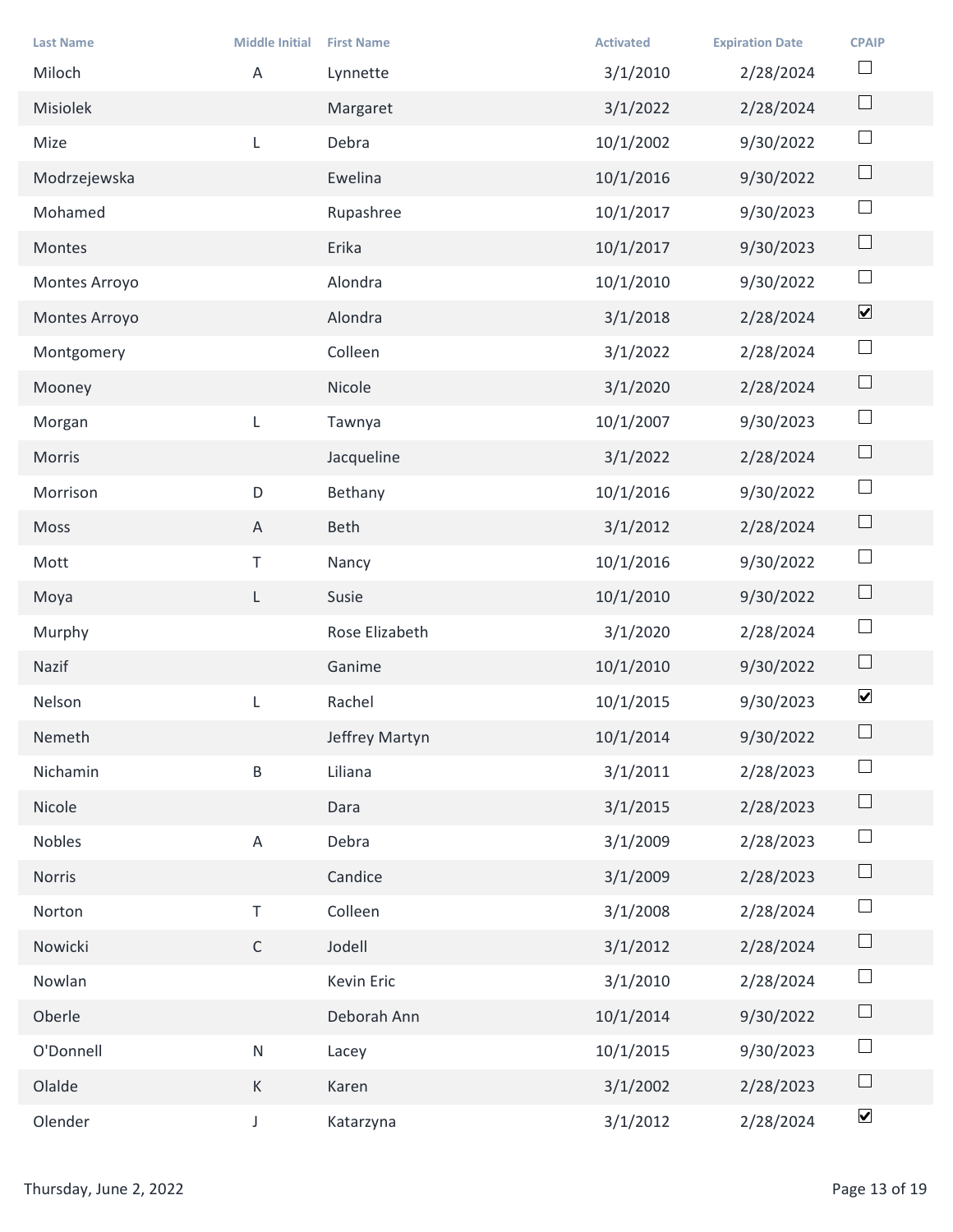| <b>Last Name</b>       | <b>Middle Initial</b> | <b>First Name</b> | <b>Activated</b> | <b>Expiration Date</b> | <b>CPAIP</b>             |
|------------------------|-----------------------|-------------------|------------------|------------------------|--------------------------|
| Miloch                 | Α                     | Lynnette          | 3/1/2010         | 2/28/2024              | $\Box$                   |
| Misiolek               |                       | Margaret          | 3/1/2022         | 2/28/2024              | $\Box$                   |
| Mize                   | $\mathsf{L}$          | Debra             | 10/1/2002        | 9/30/2022              | $\Box$                   |
| Modrzejewska           |                       | Ewelina           | 10/1/2016        | 9/30/2022              | $\Box$                   |
| Mohamed                |                       | Rupashree         | 10/1/2017        | 9/30/2023              | $\Box$                   |
| Montes                 |                       | Erika             | 10/1/2017        | 9/30/2023              | $\Box$                   |
| Montes Arroyo          |                       | Alondra           | 10/1/2010        | 9/30/2022              | $\Box$                   |
| Montes Arroyo          |                       | Alondra           | 3/1/2018         | 2/28/2024              | $\blacktriangledown$     |
| Montgomery             |                       | Colleen           | 3/1/2022         | 2/28/2024              | $\overline{\phantom{a}}$ |
| Mooney                 |                       | Nicole            | 3/1/2020         | 2/28/2024              | $\Box$                   |
| Morgan                 | L                     | Tawnya            | 10/1/2007        | 9/30/2023              | $\Box$                   |
| Morris                 |                       | Jacqueline        | 3/1/2022         | 2/28/2024              | $\Box$                   |
| Morrison               | $\mathsf D$           | Bethany           | 10/1/2016        | 9/30/2022              | $\Box$                   |
| Moss                   | $\mathsf{A}$          | Beth              | 3/1/2012         | 2/28/2024              | $\Box$                   |
| Mott                   | $\top$                | Nancy             | 10/1/2016        | 9/30/2022              | $\Box$                   |
| Moya                   | L.                    | Susie             | 10/1/2010        | 9/30/2022              | $\Box$                   |
| Murphy                 |                       | Rose Elizabeth    | 3/1/2020         | 2/28/2024              | $\Box$                   |
| Nazif                  |                       | Ganime            | 10/1/2010        | 9/30/2022              | $\Box$                   |
| Nelson                 | L                     | Rachel            | 10/1/2015        | 9/30/2023              | $\blacktriangledown$     |
| Nemeth                 |                       | Jeffrey Martyn    | 10/1/2014        | 9/30/2022              | $\Box$                   |
| Nichamin               | $\sf B$               | Liliana           | 3/1/2011         | 2/28/2023              | $\Box$                   |
| Nicole                 |                       | Dara              | 3/1/2015         | 2/28/2023              | $\Box$                   |
| Nobles                 | $\mathsf{A}$          | Debra             | 3/1/2009         | 2/28/2023              | $\Box$                   |
| Norris                 |                       | Candice           | 3/1/2009         | 2/28/2023              | $\Box$                   |
| Norton                 | $\top$                | Colleen           | 3/1/2008         | 2/28/2024              | $\Box$                   |
| Nowicki                | $\mathsf{C}$          | Jodell            | 3/1/2012         | 2/28/2024              | $\Box$                   |
| Nowlan                 |                       | Kevin Eric        | 3/1/2010         | 2/28/2024              | $\Box$                   |
| Oberle                 |                       | Deborah Ann       | 10/1/2014        | 9/30/2022              | $\Box$                   |
| O'Donnell              | N                     | Lacey             | 10/1/2015        | 9/30/2023              | $\Box$                   |
| Olalde                 | K                     | Karen             | 3/1/2002         | 2/28/2023              | $\Box$                   |
| Olender                | $\mathsf{L}$          | Katarzyna         | 3/1/2012         | 2/28/2024              | $\blacktriangledown$     |
|                        |                       |                   |                  |                        |                          |
| Thursday, June 2, 2022 |                       |                   |                  |                        | Page 13 of 19            |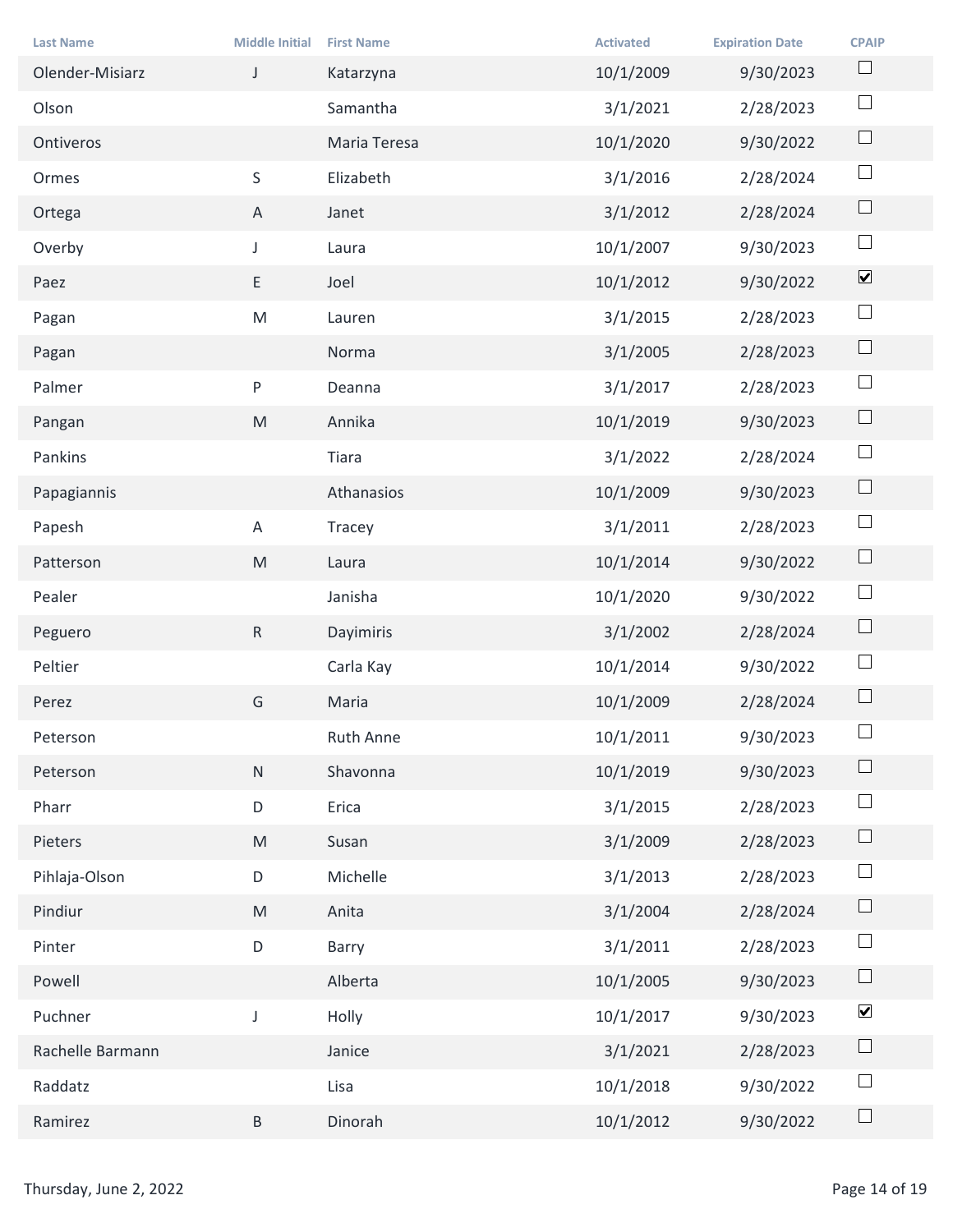| <b>Last Name</b>       | <b>Middle Initial</b> | <b>First Name</b> | <b>Activated</b> | <b>Expiration Date</b> | <b>CPAIP</b>         |
|------------------------|-----------------------|-------------------|------------------|------------------------|----------------------|
| Olender-Misiarz        | J                     | Katarzyna         | 10/1/2009        | 9/30/2023              | $\Box$               |
| Olson                  |                       | Samantha          | 3/1/2021         | 2/28/2023              | $\Box$               |
| Ontiveros              |                       | Maria Teresa      | 10/1/2020        | 9/30/2022              | $\Box$               |
| Ormes                  | S                     | Elizabeth         | 3/1/2016         | 2/28/2024              | $\Box$               |
| Ortega                 | $\mathsf{A}$          | Janet             | 3/1/2012         | 2/28/2024              | $\Box$               |
| Overby                 | $\mathsf{J}$          | Laura             | 10/1/2007        | 9/30/2023              | $\Box$               |
| Paez                   | E                     | Joel              | 10/1/2012        | 9/30/2022              | $\blacktriangledown$ |
| Pagan                  | ${\sf M}$             | Lauren            | 3/1/2015         | 2/28/2023              | $\Box$               |
| Pagan                  |                       | Norma             | 3/1/2005         | 2/28/2023              | $\Box$               |
| Palmer                 | P                     | Deanna            | 3/1/2017         | 2/28/2023              | $\Box$               |
| Pangan                 | M                     | Annika            | 10/1/2019        | 9/30/2023              | $\Box$               |
| Pankins                |                       | Tiara             | 3/1/2022         | 2/28/2024              | $\Box$               |
| Papagiannis            |                       | Athanasios        | 10/1/2009        | 9/30/2023              | $\Box$               |
| Papesh                 | $\mathsf{A}$          | Tracey            | 3/1/2011         | 2/28/2023              | $\Box$               |
| Patterson              | M                     | Laura             | 10/1/2014        | 9/30/2022              | $\Box$               |
| Pealer                 |                       | Janisha           | 10/1/2020        | 9/30/2022              | $\Box$               |
| Peguero                | R                     | Dayimiris         | 3/1/2002         | 2/28/2024              | $\Box$               |
| Peltier                |                       | Carla Kay         | 10/1/2014        | 9/30/2022              | $\Box$               |
| Perez                  | G                     | Maria             | 10/1/2009        | 2/28/2024              | $\Box$               |
| Peterson               |                       | Ruth Anne         | 10/1/2011        | 9/30/2023              | $\Box$               |
| Peterson               | ${\sf N}$             | Shavonna          | 10/1/2019        | 9/30/2023              | $\Box$               |
| Pharr                  | $\mathsf D$           | Erica             | 3/1/2015         | 2/28/2023              | $\Box$               |
| Pieters                | M                     | Susan             | 3/1/2009         | 2/28/2023              | $\Box$               |
| Pihlaja-Olson          | $\mathsf D$           | Michelle          | 3/1/2013         | 2/28/2023              | $\Box$               |
| Pindiur                | M                     | Anita             | 3/1/2004         | 2/28/2024              | $\Box$               |
| Pinter                 | $\mathsf D$           | Barry             | 3/1/2011         | 2/28/2023              | $\Box$               |
| Powell                 |                       | Alberta           | 10/1/2005        | 9/30/2023              | $\Box$               |
| Puchner                | J                     | Holly             | 10/1/2017        | 9/30/2023              | $\blacktriangledown$ |
| Rachelle Barmann       |                       | Janice            | 3/1/2021         | 2/28/2023              | $\Box$               |
| Raddatz                |                       | Lisa              | 10/1/2018        | 9/30/2022              | $\Box$               |
| Ramirez                | $\, {\sf B} \,$       | Dinorah           | 10/1/2012        | 9/30/2022              | $\Box$               |
|                        |                       |                   |                  |                        |                      |
| Thursday, June 2, 2022 |                       |                   |                  |                        | Page 14 of 19        |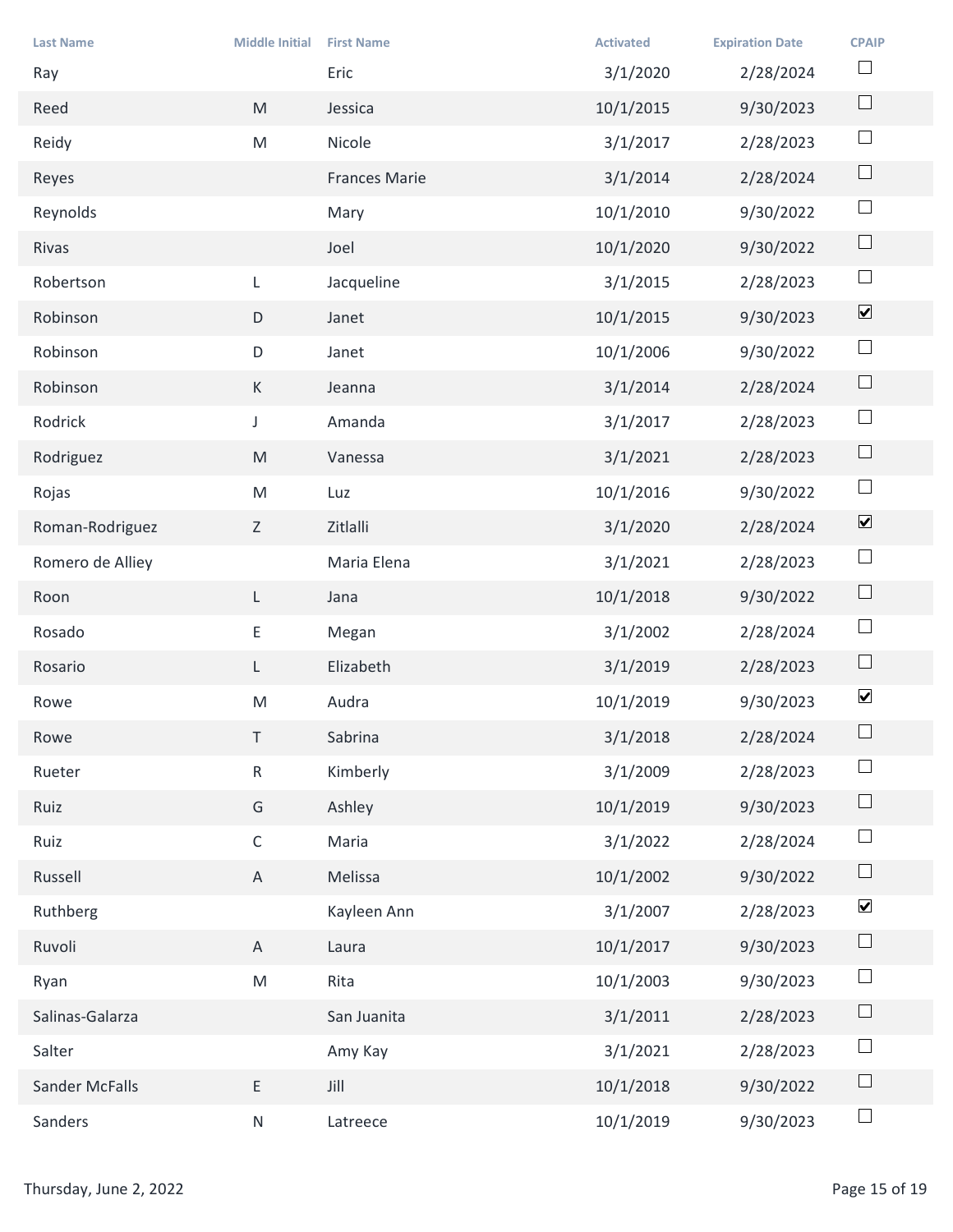| <b>Last Name</b>       | <b>Middle Initial</b>                                                                                      | <b>First Name</b><br>Eric | <b>Activated</b>      | <b>Expiration Date</b> | <b>CPAIP</b><br>$\Box$       |
|------------------------|------------------------------------------------------------------------------------------------------------|---------------------------|-----------------------|------------------------|------------------------------|
| Ray<br>Reed            | $\mathsf{M}% _{T}=\mathsf{M}_{T}\!\left( a,b\right) ,\ \mathsf{M}_{T}=\mathsf{M}_{T}\!\left( a,b\right) ,$ | Jessica                   | 3/1/2020<br>10/1/2015 | 2/28/2024<br>9/30/2023 | $\Box$                       |
| Reidy                  | M                                                                                                          | Nicole                    | 3/1/2017              | 2/28/2023              | $\Box$                       |
| Reyes                  |                                                                                                            | Frances Marie             | 3/1/2014              | 2/28/2024              | $\hfill \square$             |
| Reynolds               |                                                                                                            | Mary                      | 10/1/2010             | 9/30/2022              | $\Box$                       |
| Rivas                  |                                                                                                            | Joel                      | 10/1/2020             | 9/30/2022              | $\Box$                       |
| Robertson              | $\mathsf{L}$                                                                                               | Jacqueline                | 3/1/2015              | 2/28/2023              | $\Box$                       |
| Robinson               | D                                                                                                          | Janet                     | 10/1/2015             | 9/30/2023              | $\blacktriangledown$         |
| Robinson               | D                                                                                                          | Janet                     | 10/1/2006             | 9/30/2022              | $\overline{\phantom{a}}$     |
| Robinson               | K                                                                                                          | Jeanna                    | 3/1/2014              | 2/28/2024              | $\Box$                       |
| Rodrick                | $\mathsf{J}$                                                                                               | Amanda                    | 3/1/2017              | 2/28/2023              | $\Box$                       |
| Rodriguez              | M                                                                                                          | Vanessa                   | 3/1/2021              | 2/28/2023              | $\Box$                       |
| Rojas                  | M                                                                                                          | Luz                       | 10/1/2016             | 9/30/2022              | $\Box$                       |
| Roman-Rodriguez        | Z                                                                                                          | Zitlalli                  | 3/1/2020              | 2/28/2024              | $\boxed{\blacktriangledown}$ |
| Romero de Alliey       |                                                                                                            | Maria Elena               | 3/1/2021              | 2/28/2023              | $\Box$                       |
| Roon                   | $\lfloor$                                                                                                  | Jana                      | 10/1/2018             | 9/30/2022              | $\Box$                       |
| Rosado                 | E                                                                                                          | Megan                     | 3/1/2002              | 2/28/2024              | $\Box$                       |
| Rosario                | $\mathsf{L}^-$                                                                                             | Elizabeth                 | 3/1/2019              | 2/28/2023              | $\Box$                       |
| Rowe                   | M                                                                                                          | Audra                     | 10/1/2019             | 9/30/2023              | $\blacktriangledown$         |
| Rowe                   | T                                                                                                          | Sabrina                   | 3/1/2018              | 2/28/2024              | $\Box$                       |
| Rueter                 | $R_{\parallel}$                                                                                            | Kimberly                  | 3/1/2009              | 2/28/2023              | $\Box$                       |
| Ruiz                   | G                                                                                                          | Ashley                    | 10/1/2019             | 9/30/2023              | $\Box$                       |
| Ruiz                   | $\mathsf{C}$                                                                                               | Maria                     | 3/1/2022              | 2/28/2024              | $\Box$                       |
| Russell                | $\mathsf{A}$                                                                                               | Melissa                   | 10/1/2002             | 9/30/2022              | $\Box$                       |
| Ruthberg               |                                                                                                            | Kayleen Ann               | 3/1/2007              | 2/28/2023              | $\blacktriangledown$         |
| Ruvoli                 | $\mathsf{A}$                                                                                               | Laura                     | 10/1/2017             | 9/30/2023              | $\Box$                       |
| Ryan                   | M                                                                                                          | Rita                      | 10/1/2003             | 9/30/2023              | $\Box$                       |
| Salinas-Galarza        |                                                                                                            | San Juanita               | 3/1/2011              | 2/28/2023              | $\Box$                       |
| Salter                 |                                                                                                            | Amy Kay                   | 3/1/2021              | 2/28/2023              | $\Box$                       |
| Sander McFalls         | $\mathsf{E}^-$                                                                                             | Jill                      | 10/1/2018             | 9/30/2022              | $\Box$                       |
| Sanders                | N                                                                                                          | Latreece                  | 10/1/2019             | 9/30/2023              | $\Box$                       |
| Thursday, June 2, 2022 |                                                                                                            |                           |                       |                        | Page 15 of 19                |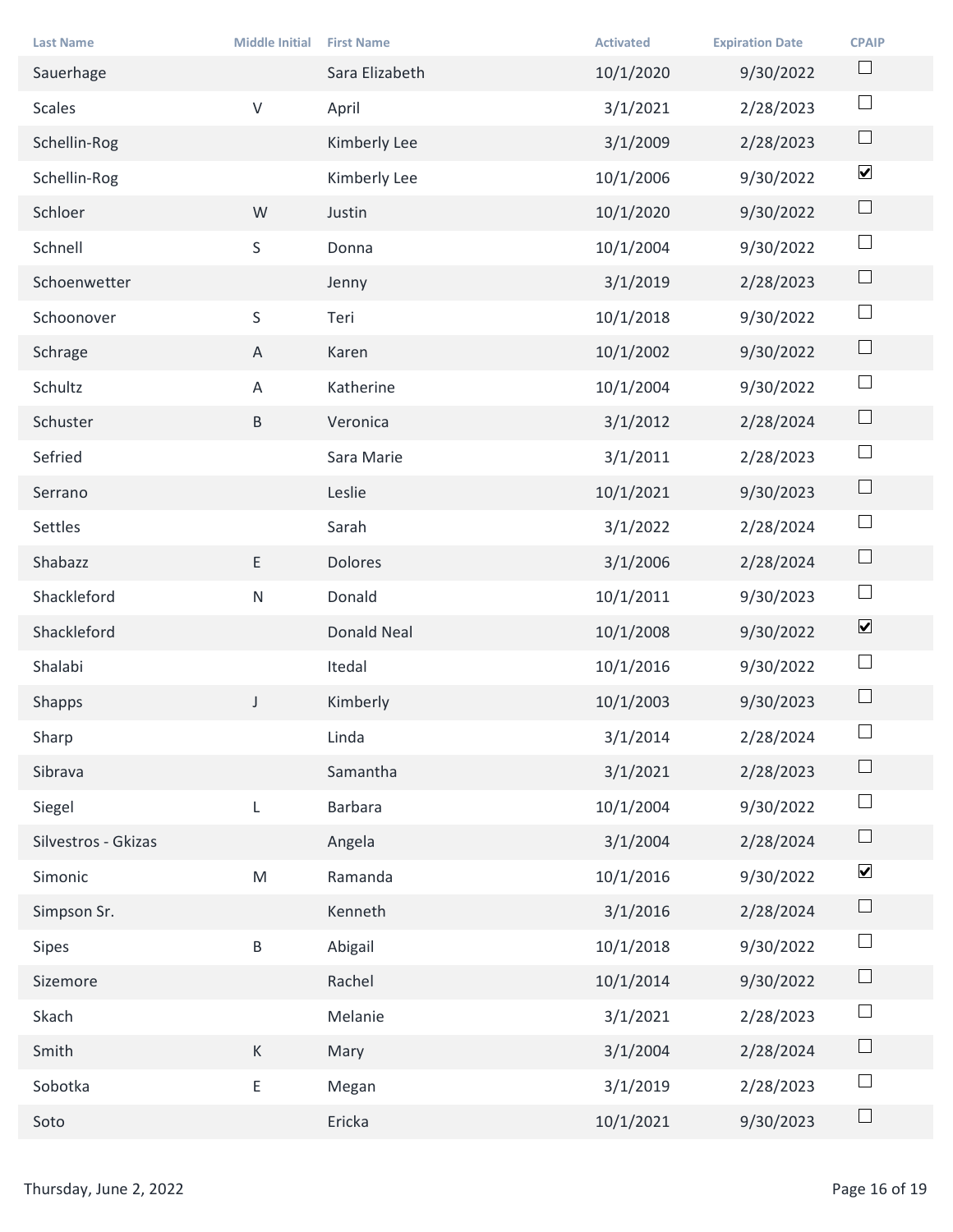| <b>Last Name</b>       | <b>Middle Initial</b> | <b>First Name</b> | <b>Activated</b> | <b>Expiration Date</b> | <b>CPAIP</b>         |
|------------------------|-----------------------|-------------------|------------------|------------------------|----------------------|
| Sauerhage              |                       | Sara Elizabeth    | 10/1/2020        | 9/30/2022              | $\Box$               |
| Scales                 | $\mathsf{V}$          | April             | 3/1/2021         | 2/28/2023              | $\Box$               |
| Schellin-Rog           |                       | Kimberly Lee      | 3/1/2009         | 2/28/2023              | $\Box$               |
| Schellin-Rog           |                       | Kimberly Lee      | 10/1/2006        | 9/30/2022              | $\blacktriangledown$ |
| Schloer                | W                     | Justin            | 10/1/2020        | 9/30/2022              | $\Box$               |
| Schnell                | S                     | Donna             | 10/1/2004        | 9/30/2022              | $\Box$               |
| Schoenwetter           |                       | Jenny             | 3/1/2019         | 2/28/2023              | $\Box$               |
| Schoonover             | S                     | Teri              | 10/1/2018        | 9/30/2022              | $\Box$               |
| Schrage                | A                     | Karen             | 10/1/2002        | 9/30/2022              | $\Box$               |
| Schultz                | $\mathsf{A}$          | Katherine         | 10/1/2004        | 9/30/2022              | $\Box$               |
| Schuster               | B                     | Veronica          | 3/1/2012         | 2/28/2024              | $\Box$               |
| Sefried                |                       | Sara Marie        | 3/1/2011         | 2/28/2023              | $\Box$               |
| Serrano                |                       | Leslie            | 10/1/2021        | 9/30/2023              | $\Box$               |
| Settles                |                       | Sarah             | 3/1/2022         | 2/28/2024              | $\Box$               |
| Shabazz                | E                     | Dolores           | 3/1/2006         | 2/28/2024              | $\Box$               |
| Shackleford            | N                     | Donald            | 10/1/2011        | 9/30/2023              | $\Box$               |
| Shackleford            |                       | Donald Neal       | 10/1/2008        | 9/30/2022              | $\blacktriangledown$ |
| Shalabi                |                       | Itedal            | 10/1/2016        | 9/30/2022              | $\Box$               |
| Shapps                 | $\mathsf{J}$          | Kimberly          | 10/1/2003        | 9/30/2023              | $\Box$               |
| Sharp                  |                       | Linda             | 3/1/2014         | 2/28/2024              | $\Box$               |
| Sibrava                |                       | Samantha          | 3/1/2021         | 2/28/2023              | $\Box$               |
| Siegel                 | $\mathsf{L}$          | Barbara           | 10/1/2004        | 9/30/2022              | $\Box$               |
| Silvestros - Gkizas    |                       | Angela            | 3/1/2004         | 2/28/2024              | $\Box$               |
| Simonic                | M                     | Ramanda           | 10/1/2016        | 9/30/2022              | $\blacktriangledown$ |
| Simpson Sr.            |                       | Kenneth           | 3/1/2016         | 2/28/2024              | $\Box$               |
| Sipes                  | $\sf{B}$              | Abigail           | 10/1/2018        | 9/30/2022              | $\Box$               |
| Sizemore               |                       | Rachel            | 10/1/2014        | 9/30/2022              | $\Box$               |
| Skach                  |                       | Melanie           | 3/1/2021         | 2/28/2023              | $\Box$               |
| Smith                  | K                     | Mary              | 3/1/2004         | 2/28/2024              | $\Box$               |
| Sobotka                | E.                    | Megan             | 3/1/2019         | 2/28/2023              | $\Box$               |
| Soto                   |                       | Ericka            | 10/1/2021        | 9/30/2023              | $\Box$               |
|                        |                       |                   |                  |                        |                      |
| Thursday, June 2, 2022 |                       |                   |                  |                        | Page 16 of 19        |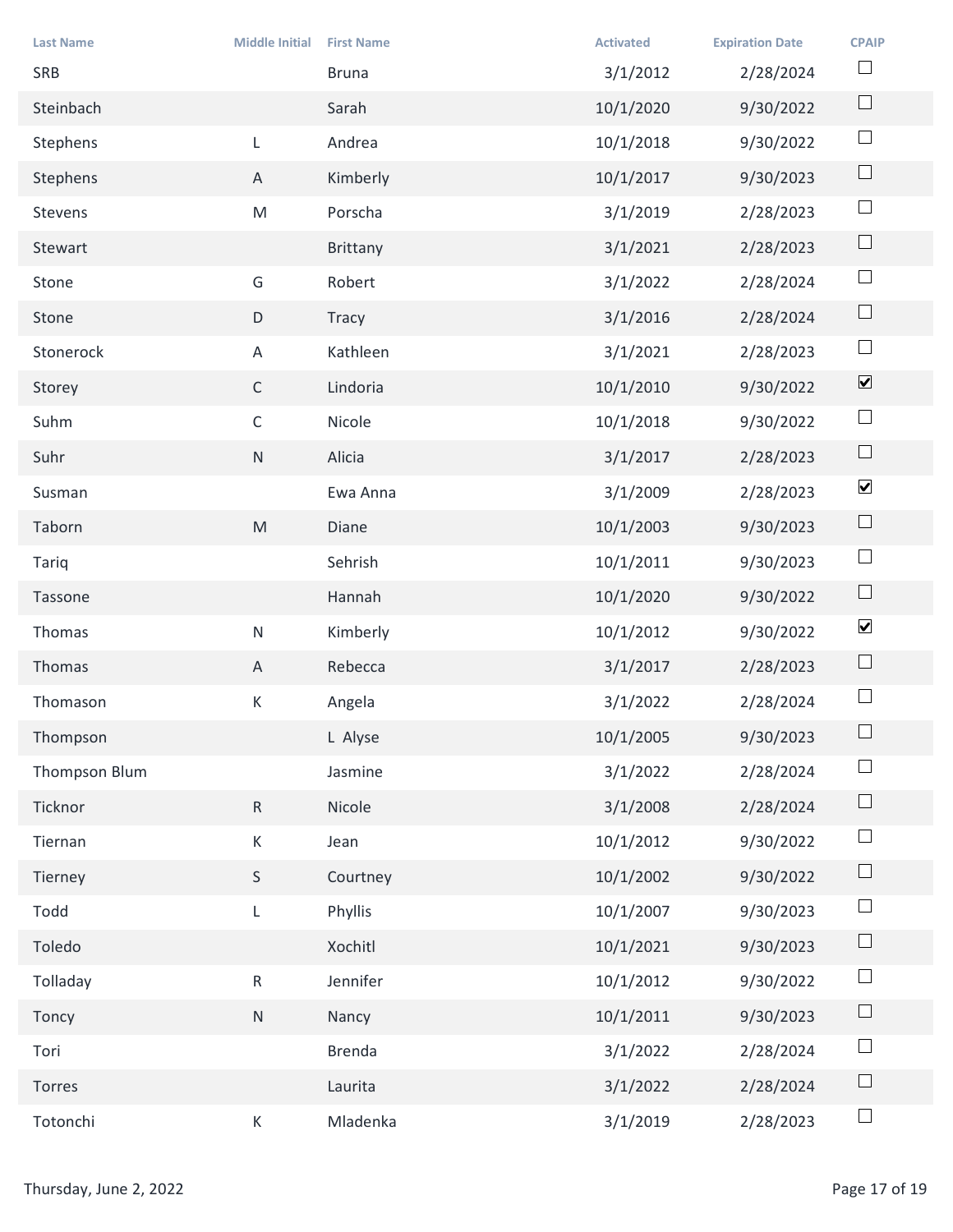| <b>Last Name</b><br>SRB | <b>Middle Initial</b>                                                                                      | <b>First Name</b><br><b>Bruna</b> | <b>Activated</b><br>3/1/2012 | <b>Expiration Date</b><br>2/28/2024 | <b>CPAIP</b><br>$\Box$   |
|-------------------------|------------------------------------------------------------------------------------------------------------|-----------------------------------|------------------------------|-------------------------------------|--------------------------|
| Steinbach               |                                                                                                            | Sarah                             | 10/1/2020                    | 9/30/2022                           | $\Box$                   |
| Stephens                | $\mathsf{L}$                                                                                               | Andrea                            | 10/1/2018                    | 9/30/2022                           | $\Box$                   |
| Stephens                | $\mathsf{A}$                                                                                               | Kimberly                          | 10/1/2017                    | 9/30/2023                           | $\Box$                   |
| Stevens                 | ${\sf M}$                                                                                                  | Porscha                           | 3/1/2019                     | 2/28/2023                           | $\Box$                   |
| Stewart                 |                                                                                                            | Brittany                          | 3/1/2021                     | 2/28/2023                           | $\Box$                   |
| Stone                   | G                                                                                                          | Robert                            | 3/1/2022                     | 2/28/2024                           | $\Box$                   |
| Stone                   | D                                                                                                          | Tracy                             | 3/1/2016                     | 2/28/2024                           | $\Box$                   |
| Stonerock               | Α                                                                                                          | Kathleen                          | 3/1/2021                     | 2/28/2023                           | $\overline{\phantom{a}}$ |
| Storey                  | $\mathsf C$                                                                                                | Lindoria                          | 10/1/2010                    | 9/30/2022                           | $\blacktriangledown$     |
| Suhm                    | $\mathsf{C}$                                                                                               | Nicole                            | 10/1/2018                    | 9/30/2022                           | $\Box$                   |
| Suhr                    | ${\sf N}$                                                                                                  | Alicia                            | 3/1/2017                     | 2/28/2023                           | $\Box$                   |
| Susman                  |                                                                                                            | Ewa Anna                          | 3/1/2009                     | 2/28/2023                           | $\blacktriangledown$     |
| Taborn                  | $\mathsf{M}% _{T}=\mathsf{M}_{T}\!\left( a,b\right) ,\ \mathsf{M}_{T}=\mathsf{M}_{T}\!\left( a,b\right) ,$ | Diane                             | 10/1/2003                    | 9/30/2023                           | $\Box$                   |
| Tariq                   |                                                                                                            | Sehrish                           | 10/1/2011                    | 9/30/2023                           | $\Box$                   |
| Tassone                 |                                                                                                            | Hannah                            | 10/1/2020                    | 9/30/2022                           | $\Box$                   |
| Thomas                  | ${\sf N}$                                                                                                  | Kimberly                          | 10/1/2012                    | 9/30/2022                           | $\blacktriangledown$     |
| Thomas                  | $\mathsf{A}$                                                                                               | Rebecca                           | 3/1/2017                     | 2/28/2023                           | $\Box$                   |
| Thomason                | K                                                                                                          | Angela                            | 3/1/2022                     | 2/28/2024                           | $\Box$                   |
| Thompson                |                                                                                                            | L Alyse                           | 10/1/2005                    | 9/30/2023                           | $\Box$                   |
| Thompson Blum           |                                                                                                            | Jasmine                           | 3/1/2022                     | 2/28/2024                           | $\Box$                   |
| Ticknor                 | ${\sf R}$                                                                                                  | Nicole                            | 3/1/2008                     | 2/28/2024                           | $\Box$                   |
| Tiernan                 | $\mathsf K$                                                                                                | Jean                              | 10/1/2012                    | 9/30/2022                           | $\Box$                   |
| Tierney                 | S                                                                                                          | Courtney                          | 10/1/2002                    | 9/30/2022                           | $\Box$                   |
| Todd                    | L                                                                                                          | Phyllis                           | 10/1/2007                    | 9/30/2023                           | $\Box$                   |
| Toledo                  |                                                                                                            | Xochitl                           | 10/1/2021                    | 9/30/2023                           | $\Box$                   |
| Tolladay                | R                                                                                                          | Jennifer                          | 10/1/2012                    | 9/30/2022                           | $\Box$                   |
| Toncy                   | N                                                                                                          | Nancy                             | 10/1/2011                    | 9/30/2023                           | $\Box$                   |
| Tori                    |                                                                                                            | Brenda                            | 3/1/2022                     | 2/28/2024                           | $\Box$                   |
| Torres                  |                                                                                                            | Laurita                           | 3/1/2022                     | 2/28/2024                           | $\Box$                   |
| Totonchi                | $\mathsf{K}$                                                                                               | Mladenka                          | 3/1/2019                     | 2/28/2023                           | $\Box$                   |
| Thursday, June 2, 2022  |                                                                                                            |                                   |                              |                                     | Page 17 of 19            |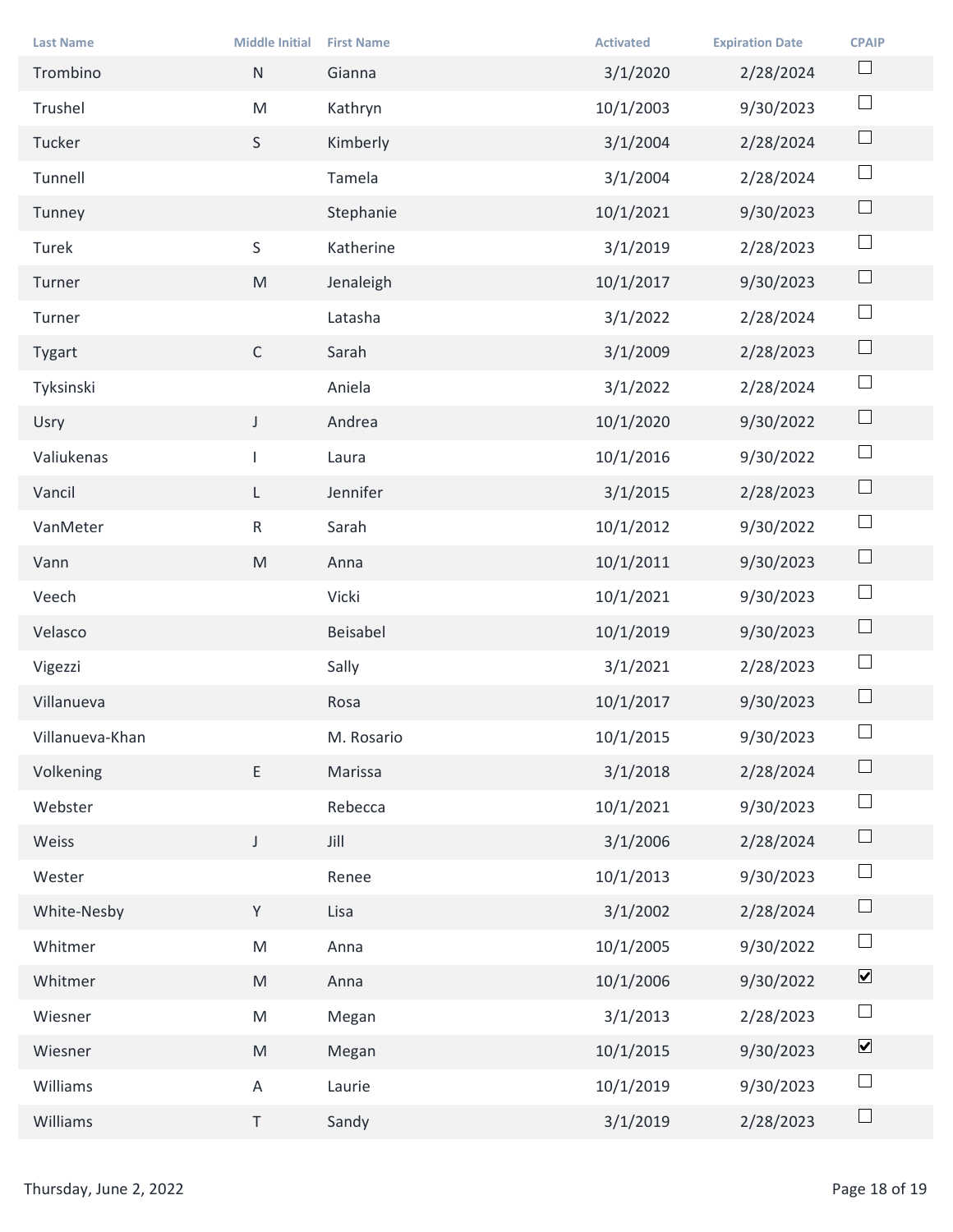| <b>Last Name</b><br>Trombino | <b>Middle Initial</b><br>N                                                                                 | <b>First Name</b><br>Gianna | <b>Activated</b><br>3/1/2020 | <b>Expiration Date</b><br>2/28/2024 | <b>CPAIP</b><br>$\Box$       |
|------------------------------|------------------------------------------------------------------------------------------------------------|-----------------------------|------------------------------|-------------------------------------|------------------------------|
| Trushel                      | ${\sf M}$                                                                                                  | Kathryn                     | 10/1/2003                    | 9/30/2023                           | $\Box$                       |
| Tucker                       | S                                                                                                          | Kimberly                    | 3/1/2004                     | 2/28/2024                           | $\Box$                       |
| Tunnell                      |                                                                                                            | Tamela                      | 3/1/2004                     | 2/28/2024                           | $\Box$                       |
| Tunney                       |                                                                                                            | Stephanie                   | 10/1/2021                    | 9/30/2023                           | $\Box$                       |
| Turek                        | S                                                                                                          | Katherine                   | 3/1/2019                     | 2/28/2023                           | $\Box$                       |
| Turner                       | M                                                                                                          | Jenaleigh                   | 10/1/2017                    | 9/30/2023                           | $\Box$                       |
| Turner                       |                                                                                                            | Latasha                     | 3/1/2022                     | 2/28/2024                           | $\Box$                       |
| Tygart                       | $\mathsf{C}$                                                                                               | Sarah                       | 3/1/2009                     | 2/28/2023                           | $\Box$                       |
| Tyksinski                    |                                                                                                            | Aniela                      | 3/1/2022                     | 2/28/2024                           | $\Box$                       |
| Usry                         | $\mathsf{J}$                                                                                               | Andrea                      | 10/1/2020                    | 9/30/2022                           | $\Box$                       |
| Valiukenas                   |                                                                                                            | Laura                       | 10/1/2016                    | 9/30/2022                           | $\Box$                       |
| Vancil                       | $\mathsf{L}$                                                                                               | Jennifer                    | 3/1/2015                     | 2/28/2023                           | $\Box$                       |
| VanMeter                     | $R_{\parallel}$                                                                                            | Sarah                       | 10/1/2012                    | 9/30/2022                           | $\Box$                       |
| Vann                         | M                                                                                                          | Anna                        | 10/1/2011                    | 9/30/2023                           | $\Box$                       |
| Veech                        |                                                                                                            | Vicki                       | 10/1/2021                    | 9/30/2023                           | $\Box$                       |
| Velasco                      |                                                                                                            | Beisabel                    | 10/1/2019                    | 9/30/2023                           | $\Box$                       |
| Vigezzi                      |                                                                                                            | Sally                       | 3/1/2021                     | 2/28/2023                           | $\Box$                       |
| Villanueva                   |                                                                                                            | Rosa                        | 10/1/2017                    | 9/30/2023                           | $\Box$                       |
| Villanueva-Khan              |                                                                                                            | M. Rosario                  | 10/1/2015                    | 9/30/2023                           | $\Box$                       |
| Volkening                    | E                                                                                                          | Marissa                     | 3/1/2018                     | 2/28/2024                           | $\Box$                       |
| Webster                      |                                                                                                            | Rebecca                     | 10/1/2021                    | 9/30/2023                           | $\Box$                       |
| Weiss                        | $\mathsf{J}$                                                                                               | Jill                        | 3/1/2006                     | 2/28/2024                           | $\Box$                       |
| Wester                       |                                                                                                            | Renee                       | 10/1/2013                    | 9/30/2023                           | $\Box$                       |
| White-Nesby                  | Y                                                                                                          | Lisa                        | 3/1/2002                     | 2/28/2024                           | $\Box$                       |
| Whitmer                      | M                                                                                                          | Anna                        | 10/1/2005                    | 9/30/2022                           | $\Box$                       |
| Whitmer                      | M                                                                                                          | Anna                        | 10/1/2006                    | 9/30/2022                           | $\boxed{\blacktriangledown}$ |
| Wiesner                      | M                                                                                                          | Megan                       | 3/1/2013                     | 2/28/2023                           | $\Box$                       |
| Wiesner                      | $\mathsf{M}% _{T}=\mathsf{M}_{T}\!\left( a,b\right) ,\ \mathsf{M}_{T}=\mathsf{M}_{T}\!\left( a,b\right) ,$ | Megan                       | 10/1/2015                    | 9/30/2023                           | $\blacktriangledown$         |
| Williams                     | $\mathsf{A}$                                                                                               | Laurie                      | 10/1/2019                    | 9/30/2023                           | $\Box$                       |
| Williams                     | $\mathsf T$                                                                                                | Sandy                       | 3/1/2019                     | 2/28/2023                           | $\Box$                       |
|                              |                                                                                                            |                             |                              |                                     |                              |
| Thursday, June 2, 2022       |                                                                                                            |                             |                              |                                     | Page 18 of 19                |